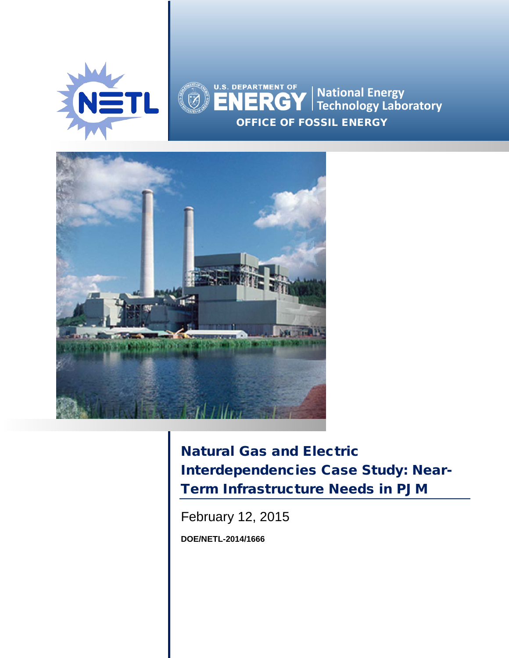

#### **DEPARTMENT OF**  $U.S.$ **National Energy Technology Laboratory**OFFICE OF FOSSIL ENERGY



Natural Gas and Electric Interdependencies Case Study: Near-Term Infrastructure Needs in PJM

February 12, 2015

**DOE/NETL-2014/1666**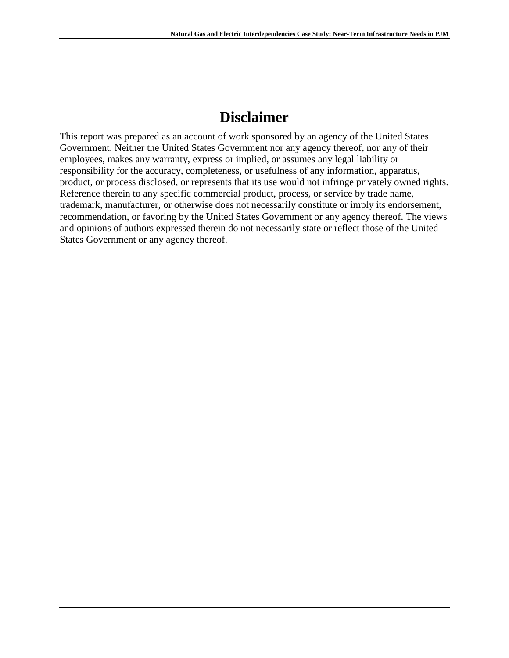# **Disclaimer**

This report was prepared as an account of work sponsored by an agency of the United States Government. Neither the United States Government nor any agency thereof, nor any of their employees, makes any warranty, express or implied, or assumes any legal liability or responsibility for the accuracy, completeness, or usefulness of any information, apparatus, product, or process disclosed, or represents that its use would not infringe privately owned rights. Reference therein to any specific commercial product, process, or service by trade name, trademark, manufacturer, or otherwise does not necessarily constitute or imply its endorsement, recommendation, or favoring by the United States Government or any agency thereof. The views and opinions of authors expressed therein do not necessarily state or reflect those of the United States Government or any agency thereof.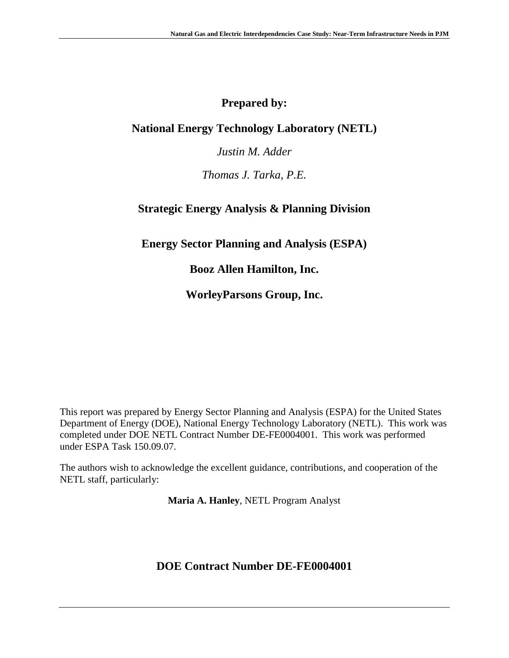#### **Prepared by:**

#### **National Energy Technology Laboratory (NETL)**

#### *Justin M. Adder*

*Thomas J. Tarka, P.E.*

#### **Strategic Energy Analysis & Planning Division**

**Energy Sector Planning and Analysis (ESPA)**

**Booz Allen Hamilton, Inc.**

**WorleyParsons Group, Inc.**

This report was prepared by Energy Sector Planning and Analysis (ESPA) for the United States Department of Energy (DOE), National Energy Technology Laboratory (NETL). This work was completed under DOE NETL Contract Number DE-FE0004001. This work was performed under ESPA Task 150.09.07.

The authors wish to acknowledge the excellent guidance, contributions, and cooperation of the NETL staff, particularly:

**Maria A. Hanley**, NETL Program Analyst

#### **DOE Contract Number DE-FE0004001**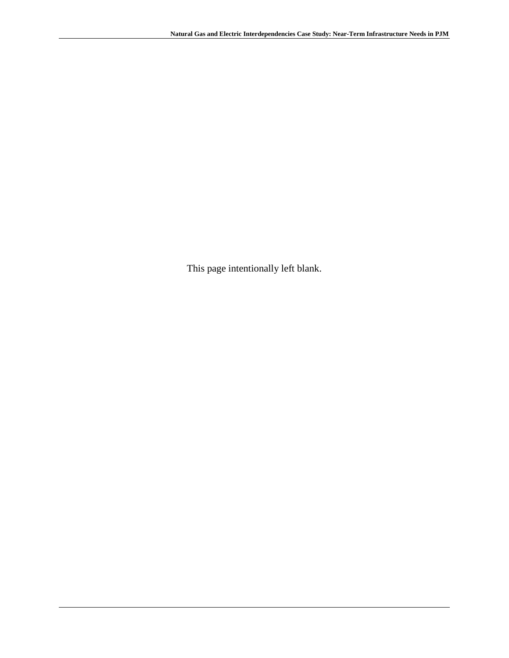This page intentionally left blank.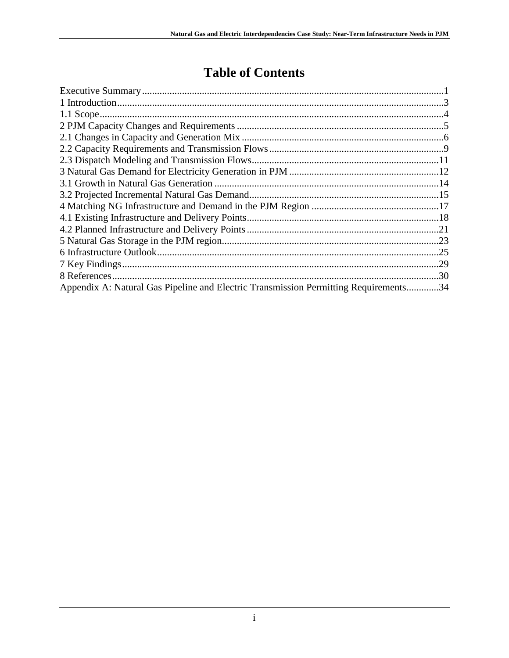# **Table of Contents**

| Appendix A: Natural Gas Pipeline and Electric Transmission Permitting Requirements34 |  |
|--------------------------------------------------------------------------------------|--|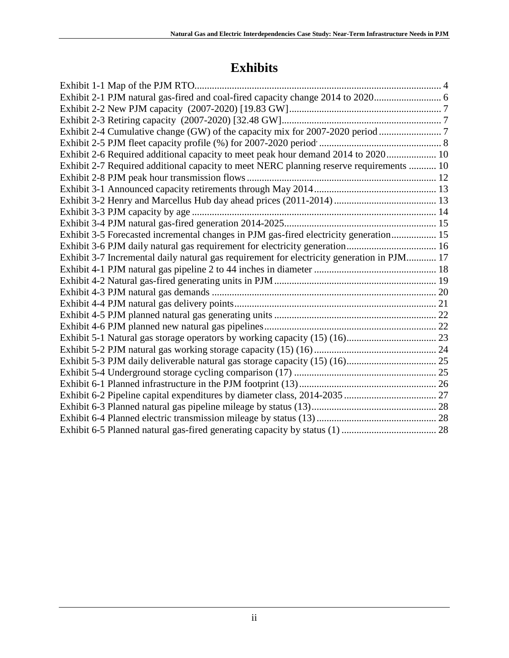# **Exhibits**

| Exhibit 2-1 PJM natural gas-fired and coal-fired capacity change 2014 to 2020                     |  |
|---------------------------------------------------------------------------------------------------|--|
|                                                                                                   |  |
|                                                                                                   |  |
| Exhibit 2-4 Cumulative change (GW) of the capacity mix for 2007-2020 period                       |  |
| Exhibit 2-5 PJM fleet capacity profile (%) for 2007-2020 period <i>manufacture contains and 8</i> |  |
| Exhibit 2-6 Required additional capacity to meet peak hour demand 2014 to 2020 10                 |  |
| Exhibit 2-7 Required additional capacity to meet NERC planning reserve requirements  10           |  |
|                                                                                                   |  |
|                                                                                                   |  |
|                                                                                                   |  |
|                                                                                                   |  |
|                                                                                                   |  |
| Exhibit 3-5 Forecasted incremental changes in PJM gas-fired electricity generation 15             |  |
|                                                                                                   |  |
| Exhibit 3-7 Incremental daily natural gas requirement for electricity generation in PJM 17        |  |
|                                                                                                   |  |
|                                                                                                   |  |
|                                                                                                   |  |
|                                                                                                   |  |
|                                                                                                   |  |
|                                                                                                   |  |
|                                                                                                   |  |
|                                                                                                   |  |
|                                                                                                   |  |
|                                                                                                   |  |
|                                                                                                   |  |
|                                                                                                   |  |
|                                                                                                   |  |
|                                                                                                   |  |
|                                                                                                   |  |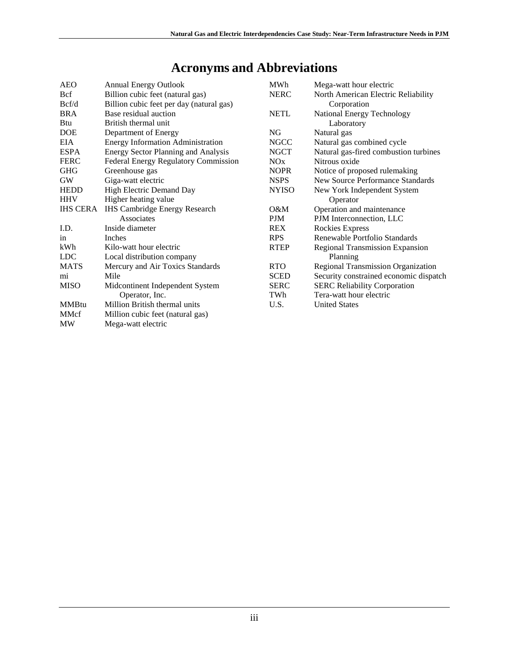# **Acronyms and Abbreviations**

| <b>AEO</b>      | <b>Annual Energy Outlook</b>               | MWh          | Mega-watt hour electric                   |
|-----------------|--------------------------------------------|--------------|-------------------------------------------|
| <b>Bcf</b>      | Billion cubic feet (natural gas)           | <b>NERC</b>  | North American Electric Reliability       |
| Bcf/d           | Billion cubic feet per day (natural gas)   |              | Corporation                               |
| <b>BRA</b>      | Base residual auction                      | <b>NETL</b>  | <b>National Energy Technology</b>         |
| <b>Btu</b>      | British thermal unit                       |              | Laboratory                                |
| <b>DOE</b>      | Department of Energy                       | NG           | Natural gas                               |
| <b>EIA</b>      | <b>Energy Information Administration</b>   | <b>NGCC</b>  | Natural gas combined cycle                |
| <b>ESPA</b>     | <b>Energy Sector Planning and Analysis</b> | <b>NGCT</b>  | Natural gas-fired combustion turbines     |
| <b>FERC</b>     | Federal Energy Regulatory Commission       | <b>NO</b> x  | Nitrous oxide                             |
| <b>GHG</b>      | Greenhouse gas                             | <b>NOPR</b>  | Notice of proposed rulemaking             |
| <b>GW</b>       | Giga-watt electric                         | <b>NSPS</b>  | New Source Performance Standards          |
| <b>HEDD</b>     | High Electric Demand Day                   | <b>NYISO</b> | New York Independent System               |
| <b>HHV</b>      | Higher heating value                       |              | Operator                                  |
| <b>IHS CERA</b> | <b>IHS Cambridge Energy Research</b>       | O&M          | Operation and maintenance                 |
|                 | Associates                                 | PJM          | PJM Interconnection, LLC                  |
| I.D.            | Inside diameter                            | <b>REX</b>   | <b>Rockies Express</b>                    |
| in              | Inches                                     | <b>RPS</b>   | Renewable Portfolio Standards             |
| kWh             | Kilo-watt hour electric                    | <b>RTEP</b>  | <b>Regional Transmission Expansion</b>    |
| <b>LDC</b>      | Local distribution company                 |              | Planning                                  |
| <b>MATS</b>     | Mercury and Air Toxics Standards           | <b>RTO</b>   | <b>Regional Transmission Organization</b> |
| mi              | Mile                                       | <b>SCED</b>  | Security constrained economic dispatch    |
| <b>MISO</b>     | Midcontinent Independent System            | <b>SERC</b>  | <b>SERC Reliability Corporation</b>       |
|                 | Operator, Inc.                             | TWh          | Tera-watt hour electric                   |
| <b>MMBtu</b>    | Million British thermal units              | U.S.         | <b>United States</b>                      |
| <b>MMcf</b>     | Million cubic feet (natural gas)           |              |                                           |
| MW              | Mega-watt electric                         |              |                                           |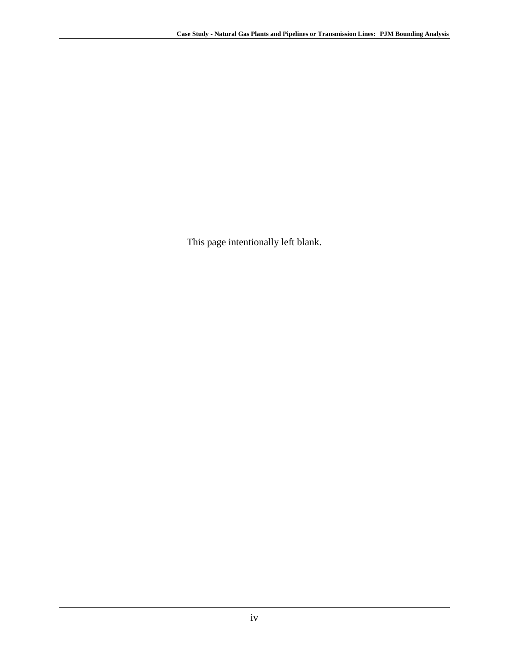This page intentionally left blank.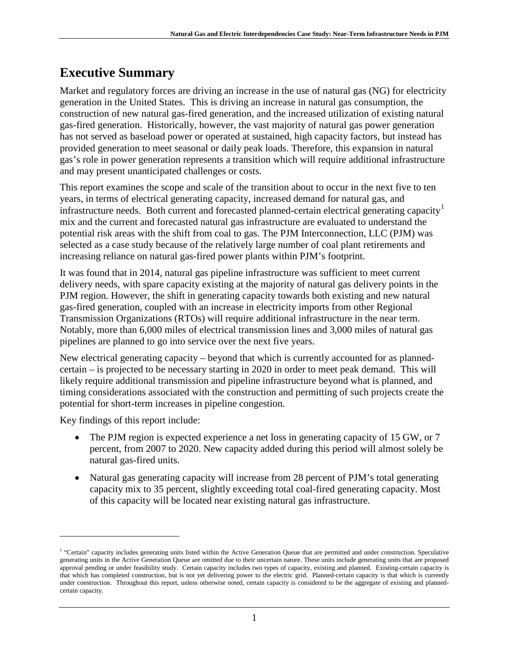# <span id="page-8-0"></span>**Executive Summary**

Market and regulatory forces are driving an increase in the use of natural gas (NG) for electricity generation in the United States. This is driving an increase in natural gas consumption, the construction of new natural gas-fired generation, and the increased utilization of existing natural gas-fired generation. Historically, however, the vast majority of natural gas power generation has not served as baseload power or operated at sustained, high capacity factors, but instead has provided generation to meet seasonal or daily peak loads. Therefore, this expansion in natural gas's role in power generation represents a transition which will require additional infrastructure and may present unanticipated challenges or costs.

This report examines the scope and scale of the transition about to occur in the next five to ten years, in terms of electrical generating capacity, increased demand for natural gas, and infrastructure needs. Both current and forecasted planned-certain electrical generating capacity<sup>[1](#page-8-1)</sup> mix and the current and forecasted natural gas infrastructure are evaluated to understand the potential risk areas with the shift from coal to gas. The PJM Interconnection, LLC (PJM) was selected as a case study because of the relatively large number of coal plant retirements and increasing reliance on natural gas-fired power plants within PJM's footprint.

It was found that in 2014, natural gas pipeline infrastructure was sufficient to meet current delivery needs, with spare capacity existing at the majority of natural gas delivery points in the PJM region. However, the shift in generating capacity towards both existing and new natural gas-fired generation, coupled with an increase in electricity imports from other Regional Transmission Organizations (RTOs) will require additional infrastructure in the near term. Notably, more than 6,000 miles of electrical transmission lines and 3,000 miles of natural gas pipelines are planned to go into service over the next five years.

New electrical generating capacity – beyond that which is currently accounted for as plannedcertain – is projected to be necessary starting in 2020 in order to meet peak demand. This will likely require additional transmission and pipeline infrastructure beyond what is planned, and timing considerations associated with the construction and permitting of such projects create the potential for short-term increases in pipeline congestion.

Key findings of this report include:

- The PJM region is expected experience a net loss in generating capacity of 15 GW, or 7 percent, from 2007 to 2020. New capacity added during this period will almost solely be natural gas-fired units.
- Natural gas generating capacity will increase from 28 percent of PJM's total generating capacity mix to 35 percent, slightly exceeding total coal-fired generating capacity. Most of this capacity will be located near existing natural gas infrastructure.

<span id="page-8-1"></span><sup>&</sup>lt;sup>1</sup> "Certain" capacity includes generating units listed within the Active Generation Queue that are permitted and under construction. Speculative generating units in the Active Generation Queue are omitted due to their uncertain nature. These units include generating units that are proposed approval pending or under feasibility study. Certain capacity includes two types of capacity, existing and planned. Existing-certain capacity is that which has completed construction, but is not yet delivering power to the electric grid. Planned-certain capacity is that which is currently under construction. Throughout this report, unless otherwise noted, certain capacity is considered to be the aggregate of existing and plannedcertain capacity.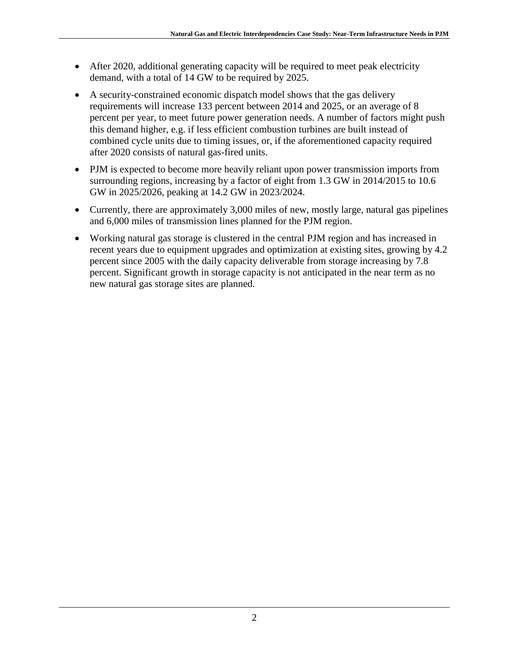- After 2020, additional generating capacity will be required to meet peak electricity demand, with a total of 14 GW to be required by 2025.
- A security-constrained economic dispatch model shows that the gas delivery requirements will increase 133 percent between 2014 and 2025, or an average of 8 percent per year, to meet future power generation needs. A number of factors might push this demand higher, e.g. if less efficient combustion turbines are built instead of combined cycle units due to timing issues, or, if the aforementioned capacity required after 2020 consists of natural gas-fired units.
- PJM is expected to become more heavily reliant upon power transmission imports from surrounding regions, increasing by a factor of eight from 1.3 GW in 2014/2015 to 10.6 GW in 2025/2026, peaking at 14.2 GW in 2023/2024.
- Currently, there are approximately 3,000 miles of new, mostly large, natural gas pipelines and 6,000 miles of transmission lines planned for the PJM region.
- Working natural gas storage is clustered in the central PJM region and has increased in recent years due to equipment upgrades and optimization at existing sites, growing by 4.2 percent since 2005 with the daily capacity deliverable from storage increasing by 7.8 percent. Significant growth in storage capacity is not anticipated in the near term as no new natural gas storage sites are planned.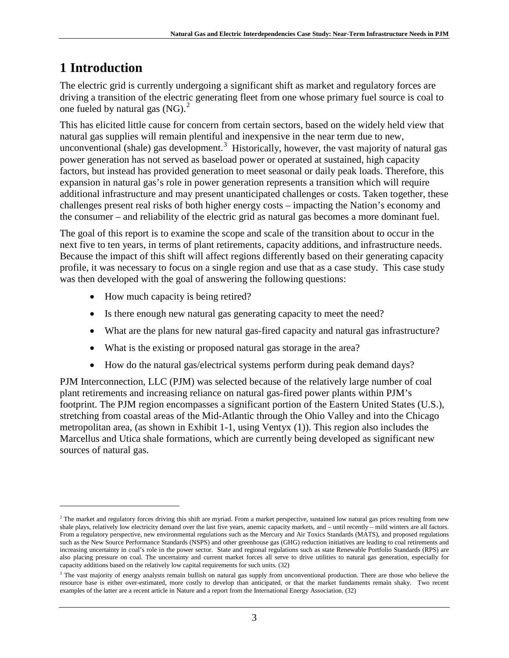# <span id="page-10-0"></span>**1 Introduction**

 $\overline{a}$ 

The electric grid is currently undergoing a significant shift as market and regulatory forces are driving a transition of the electric generating fleet from one whose primary fuel source is coal to one fueled by natural gas (NG). [2](#page-10-1)

This has elicited little cause for concern from certain sectors, based on the widely held view that natural gas supplies will remain plentiful and inexpensive in the near term due to new, unconventional (shale) gas development.<sup>[3](#page-10-2)</sup> Historically, however, the vast majority of natural gas power generation has not served as baseload power or operated at sustained, high capacity factors, but instead has provided generation to meet seasonal or daily peak loads. Therefore, this expansion in natural gas's role in power generation represents a transition which will require additional infrastructure and may present unanticipated challenges or costs. Taken together, these challenges present real risks of both higher energy costs – impacting the Nation's economy and the consumer – and reliability of the electric grid as natural gas becomes a more dominant fuel.

The goal of this report is to examine the scope and scale of the transition about to occur in the next five to ten years, in terms of plant retirements, capacity additions, and infrastructure needs. Because the impact of this shift will affect regions differently based on their generating capacity profile, it was necessary to focus on a single region and use that as a case study. This case study was then developed with the goal of answering the following questions:

- How much capacity is being retired?
- Is there enough new natural gas generating capacity to meet the need?
- What are the plans for new natural gas-fired capacity and natural gas infrastructure?
- What is the existing or proposed natural gas storage in the area?
- How do the natural gas/electrical systems perform during peak demand days?

PJM Interconnection, LLC (PJM) was selected because of the relatively large number of coal plant retirements and increasing reliance on natural gas-fired power plants within PJM's footprint. The PJM region encompasses a significant portion of the Eastern United States (U.S.), stretching from coastal areas of the Mid-Atlantic through the Ohio Valley and into the Chicago metropolitan area, (as shown in [Exhibit 1-1,](#page-11-1) using Ventyx (1)). This region also includes the Marcellus and Utica shale formations, which are currently being developed as significant new sources of natural gas.

<span id="page-10-1"></span><sup>&</sup>lt;sup>2</sup> The market and regulatory forces driving this shift are myriad. From a market perspective, sustained low natural gas prices resulting from new shale plays, relatively low electricity demand over the last five years, anemic capacity markets, and – until recently – mild winters are all factors. From a regulatory perspective, new environmental regulations such as the Mercury and Air Toxics Standards (MATS), and proposed regulations such as the New Source Performance Standards (NSPS) and other greenhouse gas (GHG) reduction initiatives are leading to coal retirements and increasing uncertainty in coal's role in the power sector. State and regional regulations such as state Renewable Portfolio Standards (RPS) are also placing pressure on coal. The uncertainty and current market forces all serve to drive utilities to natural gas generation, especially for capacity additions based on the relatively low capital requirements for such units. (32)

<span id="page-10-2"></span><sup>&</sup>lt;sup>3</sup> The vast majority of energy analysts remain bullish on natural gas supply from unconventional production. There are those who believe the resource base is either over-estimated, more costly to develop than anticipated, or that the market fundaments remain shaky. Two recent examples of the latter are a recent article in Nature and a report from the International Energy Association. (32)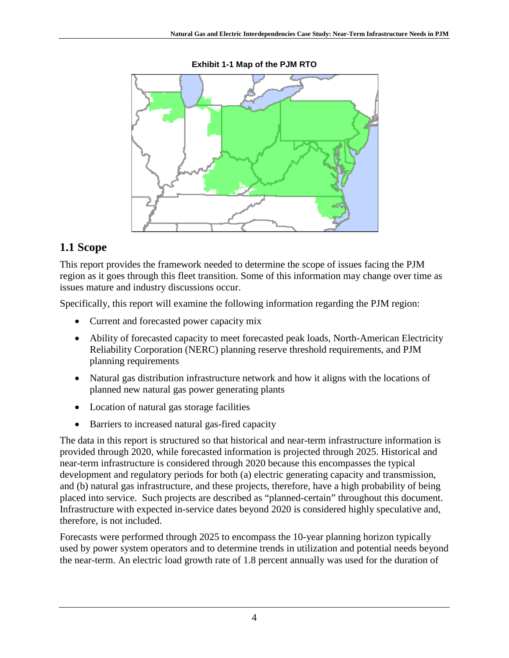<span id="page-11-1"></span>

**Exhibit 1-1 Map of the PJM RTO**

#### <span id="page-11-0"></span>**1.1 Scope**

This report provides the framework needed to determine the scope of issues facing the PJM region as it goes through this fleet transition. Some of this information may change over time as issues mature and industry discussions occur.

Specifically, this report will examine the following information regarding the PJM region:

- Current and forecasted power capacity mix
- Ability of forecasted capacity to meet forecasted peak loads, North-American Electricity Reliability Corporation (NERC) planning reserve threshold requirements, and PJM planning requirements
- Natural gas distribution infrastructure network and how it aligns with the locations of planned new natural gas power generating plants
- Location of natural gas storage facilities
- Barriers to increased natural gas-fired capacity

The data in this report is structured so that historical and near-term infrastructure information is provided through 2020, while forecasted information is projected through 2025. Historical and near-term infrastructure is considered through 2020 because this encompasses the typical development and regulatory periods for both (a) electric generating capacity and transmission, and (b) natural gas infrastructure, and these projects, therefore, have a high probability of being placed into service. Such projects are described as "planned-certain" throughout this document. Infrastructure with expected in-service dates beyond 2020 is considered highly speculative and, therefore, is not included.

Forecasts were performed through 2025 to encompass the 10-year planning horizon typically used by power system operators and to determine trends in utilization and potential needs beyond the near-term. An electric load growth rate of 1.8 percent annually was used for the duration of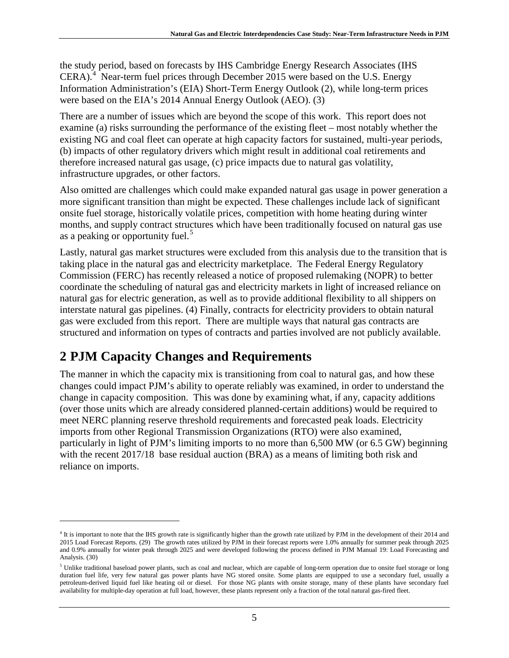the study period, based on forecasts by IHS Cambridge Energy Research Associates (IHS CERA).<sup>[4](#page-12-1)</sup> Near-term fuel prices through December 2015 were based on the U.S. Energy Information Administration's (EIA) Short-Term Energy Outlook (2), while long-term prices were based on the EIA's 2014 Annual Energy Outlook (AEO). (3)

There are a number of issues which are beyond the scope of this work. This report does not examine (a) risks surrounding the performance of the existing fleet – most notably whether the existing NG and coal fleet can operate at high capacity factors for sustained, multi-year periods, (b) impacts of other regulatory drivers which might result in additional coal retirements and therefore increased natural gas usage, (c) price impacts due to natural gas volatility, infrastructure upgrades, or other factors.

Also omitted are challenges which could make expanded natural gas usage in power generation a more significant transition than might be expected. These challenges include lack of significant onsite fuel storage, historically volatile prices, competition with home heating during winter months, and supply contract structures which have been traditionally focused on natural gas use as a peaking or opportunity fuel.<sup>[5](#page-12-2)</sup>

Lastly, natural gas market structures were excluded from this analysis due to the transition that is taking place in the natural gas and electricity marketplace. The Federal Energy Regulatory Commission (FERC) has recently released a notice of proposed rulemaking (NOPR) to better coordinate the scheduling of natural gas and electricity markets in light of increased reliance on natural gas for electric generation, as well as to provide additional flexibility to all shippers on interstate natural gas pipelines. (4) Finally, contracts for electricity providers to obtain natural gas were excluded from this report. There are multiple ways that natural gas contracts are structured and information on types of contracts and parties involved are not publicly available.

# <span id="page-12-0"></span>**2 PJM Capacity Changes and Requirements**

 $\overline{a}$ 

The manner in which the capacity mix is transitioning from coal to natural gas, and how these changes could impact PJM's ability to operate reliably was examined, in order to understand the change in capacity composition. This was done by examining what, if any, capacity additions (over those units which are already considered planned-certain additions) would be required to meet NERC planning reserve threshold requirements and forecasted peak loads. Electricity imports from other Regional Transmission Organizations (RTO) were also examined, particularly in light of PJM's limiting imports to no more than 6,500 MW (or 6.5 GW) beginning with the recent 2017/18 base residual auction (BRA) as a means of limiting both risk and reliance on imports.

<span id="page-12-1"></span><sup>&</sup>lt;sup>4</sup> It is important to note that the IHS growth rate is significantly higher than the growth rate utilized by PJM in the development of their 2014 and 2015 Load Forecast Reports. (29) The growth rates utilized by PJM in their forecast reports were 1.0% annually for summer peak through 2025 and 0.9% annually for winter peak through 2025 and were developed following the process defined in PJM Manual 19: Load Forecasting and Analysis. (30)

<span id="page-12-2"></span><sup>&</sup>lt;sup>5</sup> Unlike traditional baseload power plants, such as coal and nuclear, which are capable of long-term operation due to onsite fuel storage or long duration fuel life, very few natural gas power plants have NG stored onsite. Some plants are equipped to use a secondary fuel, usually a petroleum-derived liquid fuel like heating oil or diesel. For those NG plants with onsite storage, many of these plants have secondary fuel availability for multiple-day operation at full load, however, these plants represent only a fraction of the total natural gas-fired fleet.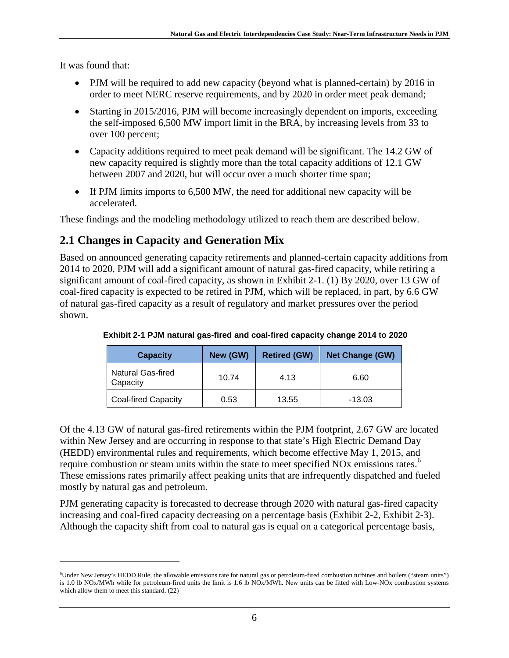It was found that:

 $\overline{a}$ 

- PJM will be required to add new capacity (beyond what is planned-certain) by 2016 in order to meet NERC reserve requirements, and by 2020 in order meet peak demand;
- Starting in 2015/2016, PJM will become increasingly dependent on imports, exceeding the self-imposed 6,500 MW import limit in the BRA, by increasing levels from 33 to over 100 percent;
- Capacity additions required to meet peak demand will be significant. The 14.2 GW of new capacity required is slightly more than the total capacity additions of 12.1 GW between 2007 and 2020, but will occur over a much shorter time span;
- If PJM limits imports to 6,500 MW, the need for additional new capacity will be accelerated.

These findings and the modeling methodology utilized to reach them are described below.

#### <span id="page-13-0"></span>**2.1 Changes in Capacity and Generation Mix**

Based on announced generating capacity retirements and planned-certain capacity additions from 2014 to 2020, PJM will add a significant amount of natural gas-fired capacity, while retiring a significant amount of coal-fired capacity, as shown in [Exhibit 2-1.](#page-13-1) (1) By 2020, over 13 GW of coal-fired capacity is expected to be retired in PJM, which will be replaced, in part, by 6.6 GW of natural gas-fired capacity as a result of regulatory and market pressures over the period shown.

| <b>Capacity</b>                      | New (GW) | <b>Retired (GW)</b> | <b>Net Change (GW)</b> |
|--------------------------------------|----------|---------------------|------------------------|
| <b>Natural Gas-fired</b><br>Capacity | 10.74    | 4.13                | 6.60                   |
| <b>Coal-fired Capacity</b>           | 0.53     | 13.55               | $-13.03$               |

<span id="page-13-1"></span>**Exhibit 2-1 PJM natural gas-fired and coal-fired capacity change 2014 to 2020**

Of the 4.13 GW of natural gas-fired retirements within the PJM footprint, 2.67 GW are located within New Jersey and are occurring in response to that state's High Electric Demand Day (HEDD) environmental rules and requirements, which become effective May 1, 2015, and require combustion or steam units within the state to meet specified NOx emissions rates.<sup>[6](#page-13-2)</sup> These emissions rates primarily affect peaking units that are infrequently dispatched and fueled mostly by natural gas and petroleum.

PJM generating capacity is forecasted to decrease through 2020 with natural gas-fired capacity increasing and coal-fired capacity decreasing on a percentage basis [\(Exhibit 2-2,](#page-14-0) [Exhibit 2-3\)](#page-14-1). Although the capacity shift from coal to natural gas is equal on a categorical percentage basis,

<span id="page-13-2"></span><sup>6</sup> Under New Jersey's HEDD Rule, the allowable emissions rate for natural gas or petroleum-fired combustion turbines and boilers ("steam units") is 1.0 lb NOx/MWh while for petroleum-fired units the limit is 1.6 lb NOx/MWh. New units can be fitted with Low-NOx combustion systems which allow them to meet this standard. (22)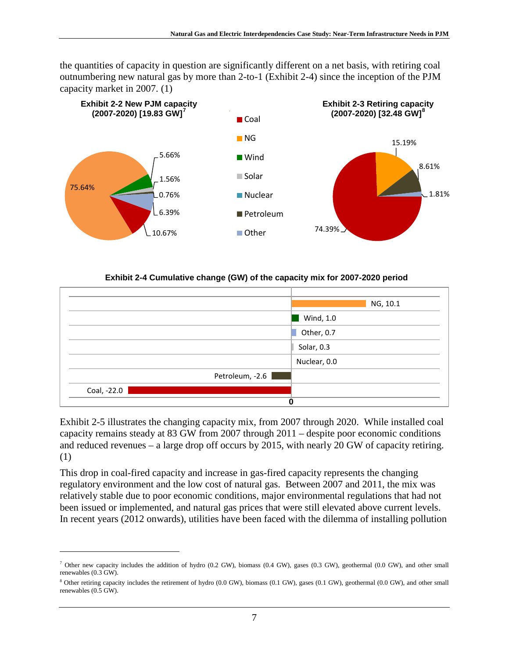the quantities of capacity in question are significantly different on a net basis, with retiring coal outnumbering new natural gas by more than 2-to-1 [\(Exhibit 2-4\)](#page-14-2) since the inception of the PJM capacity market in 2007. (1)

<span id="page-14-1"></span><span id="page-14-0"></span>

#### **Exhibit 2-4 Cumulative change (GW) of the capacity mix for 2007-2020 period**

<span id="page-14-2"></span>

[Exhibit 2-5](#page-15-0) illustrates the changing capacity mix, from 2007 through 2020. While installed coal capacity remains steady at 83 GW from 2007 through 2011 – despite poor economic conditions and reduced revenues – a large drop off occurs by 2015, with nearly 20 GW of capacity retiring. (1)

This drop in coal-fired capacity and increase in gas-fired capacity represents the changing regulatory environment and the low cost of natural gas. Between 2007 and 2011, the mix was relatively stable due to poor economic conditions, major environmental regulations that had not been issued or implemented, and natural gas prices that were still elevated above current levels. In recent years (2012 onwards), utilities have been faced with the dilemma of installing pollution

<span id="page-14-3"></span> $^7$  Other new capacity includes the addition of hydro (0.2 GW), biomass (0.4 GW), gases (0.3 GW), geothermal (0.0 GW), and other small renewables (0.3 GW).

<span id="page-14-4"></span><sup>&</sup>lt;sup>8</sup> Other retiring capacity includes the retirement of hydro (0.0 GW), biomass (0.1 GW), gases (0.1 GW), geothermal (0.0 GW), and other small renewables (0.5 GW).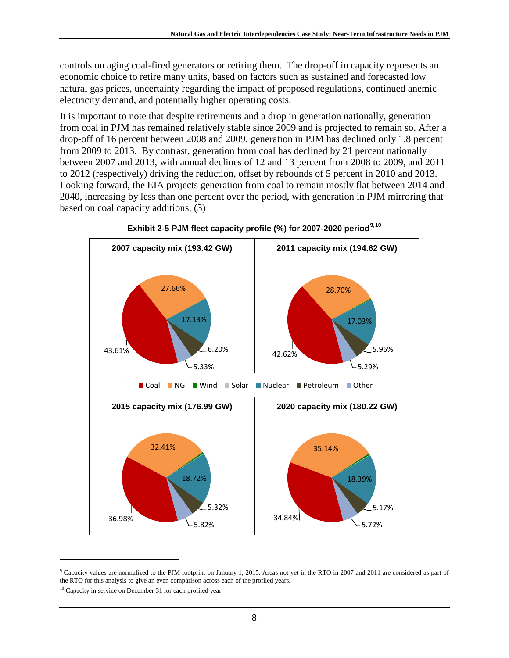controls on aging coal-fired generators or retiring them. The drop-off in capacity represents an economic choice to retire many units, based on factors such as sustained and forecasted low natural gas prices, uncertainty regarding the impact of proposed regulations, continued anemic electricity demand, and potentially higher operating costs.

It is important to note that despite retirements and a drop in generation nationally, generation from coal in PJM has remained relatively stable since 2009 and is projected to remain so. After a drop-off of 16 percent between 2008 and 2009, generation in PJM has declined only 1.8 percent from 2009 to 2013. By contrast, generation from coal has declined by 21 percent nationally between 2007 and 2013, with annual declines of 12 and 13 percent from 2008 to 2009, and 2011 to 2012 (respectively) driving the reduction, offset by rebounds of 5 percent in 2010 and 2013. Looking forward, the EIA projects generation from coal to remain mostly flat between 2014 and 2040, increasing by less than one percent over the period, with generation in PJM mirroring that based on coal capacity additions. (3)

<span id="page-15-0"></span>



<span id="page-15-1"></span><sup>9</sup> Capacity values are normalized to the PJM footprint on January 1, 2015. Areas not yet in the RTO in 2007 and 2011 are considered as part of the RTO for this analysis to give an even comparison across each of the profiled years.

<span id="page-15-2"></span> $10$  Capacity in service on December 31 for each profiled year.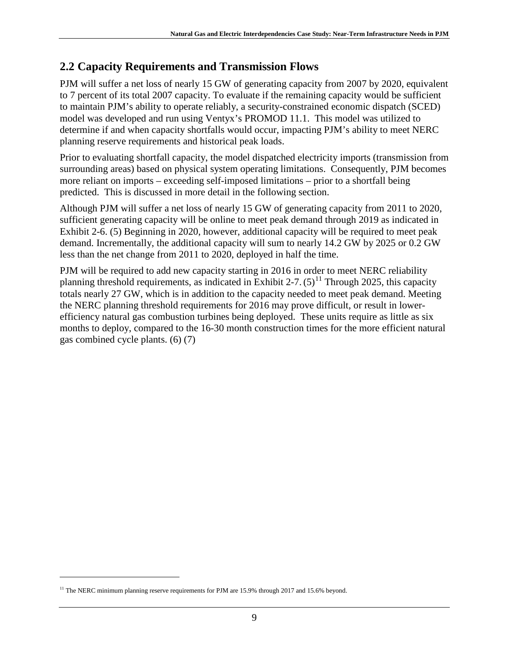#### <span id="page-16-0"></span>**2.2 Capacity Requirements and Transmission Flows**

PJM will suffer a net loss of nearly 15 GW of generating capacity from 2007 by 2020, equivalent to 7 percent of its total 2007 capacity. To evaluate if the remaining capacity would be sufficient to maintain PJM's ability to operate reliably, a security-constrained economic dispatch (SCED) model was developed and run using Ventyx's PROMOD 11.1. This model was utilized to determine if and when capacity shortfalls would occur, impacting PJM's ability to meet NERC planning reserve requirements and historical peak loads.

Prior to evaluating shortfall capacity, the model dispatched electricity imports (transmission from surrounding areas) based on physical system operating limitations. Consequently, PJM becomes more reliant on imports – exceeding self-imposed limitations – prior to a shortfall being predicted. This is discussed in more detail in the following section.

Although PJM will suffer a net loss of nearly 15 GW of generating capacity from 2011 to 2020, sufficient generating capacity will be online to meet peak demand through 2019 as indicated in [Exhibit 2-6.](#page-17-0) (5) Beginning in 2020, however, additional capacity will be required to meet peak demand. Incrementally, the additional capacity will sum to nearly 14.2 GW by 2025 or 0.2 GW less than the net change from 2011 to 2020, deployed in half the time.

PJM will be required to add new capacity starting in 2016 in order to meet NERC reliability planning threshold requirements, as indicated in [Exhibit 2-7.](#page-17-1)  $(5)^{11}$  $(5)^{11}$  $(5)^{11}$  Through 2025, this capacity totals nearly 27 GW, which is in addition to the capacity needed to meet peak demand. Meeting the NERC planning threshold requirements for 2016 may prove difficult, or result in lowerefficiency natural gas combustion turbines being deployed. These units require as little as six months to deploy, compared to the 16-30 month construction times for the more efficient natural gas combined cycle plants. (6) (7)

<span id="page-16-1"></span><sup>&</sup>lt;sup>11</sup> The NERC minimum planning reserve requirements for PJM are 15.9% through 2017 and 15.6% beyond.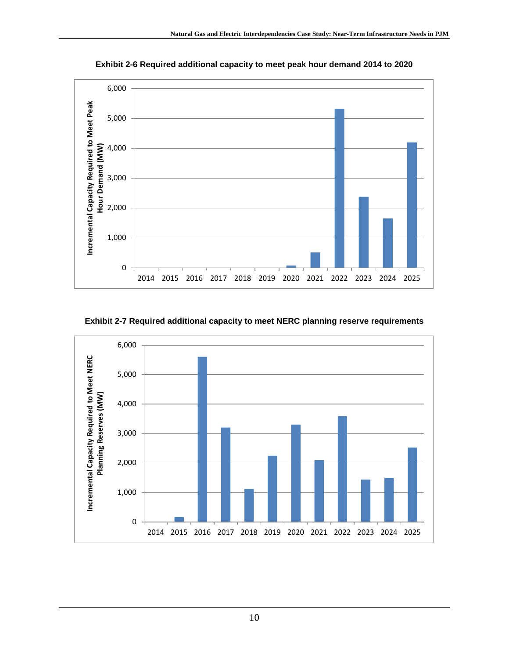<span id="page-17-0"></span>

**Exhibit 2-6 Required additional capacity to meet peak hour demand 2014 to 2020**

**Exhibit 2-7 Required additional capacity to meet NERC planning reserve requirements** 

<span id="page-17-1"></span>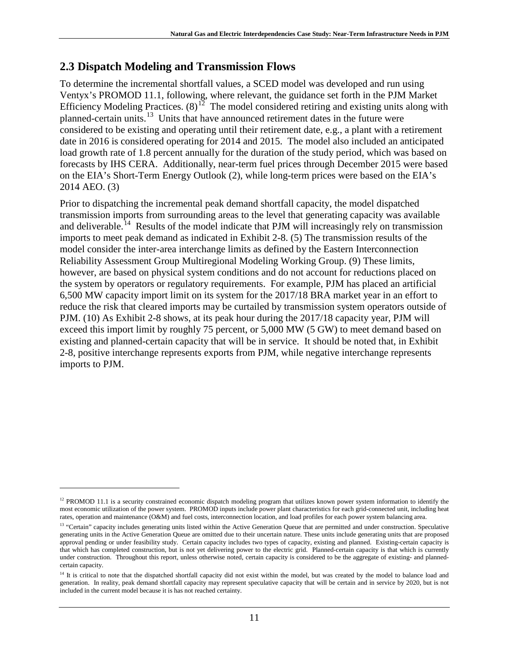#### <span id="page-18-0"></span>**2.3 Dispatch Modeling and Transmission Flows**

To determine the incremental shortfall values, a SCED model was developed and run using Ventyx's PROMOD 11.1, following, where relevant, the guidance set forth in the PJM Market Efficiency Modeling Practices.  $(8)^{12}$  The model considered retiring and existing units along with planned-certain units.<sup>13</sup> Units that have announced retirement dates in the future were considered to be existing and operating until their retirement date, e.g., a plant with a retirement date in 2016 is considered operating for 2014 and 2015. The model also included an anticipated load growth rate of 1.8 percent annually for the duration of the study period, which was based on forecasts by IHS CERA. Additionally, near-term fuel prices through December 2015 were based on the EIA's Short-Term Energy Outlook (2), while long-term prices were based on the EIA's 2014 AEO. (3)

Prior to dispatching the incremental peak demand shortfall capacity, the model dispatched transmission imports from surrounding areas to the level that generating capacity was available and deliverable.<sup>[14](#page-18-3)</sup> Results of the model indicate that PJM will increasingly rely on transmission imports to meet peak demand as indicated in [Exhibit 2-8.](#page-19-1) (5) The transmission results of the model consider the inter-area interchange limits as defined by the Eastern Interconnection Reliability Assessment Group Multiregional Modeling Working Group. (9) These limits, however, are based on physical system conditions and do not account for reductions placed on the system by operators or regulatory requirements. For example, PJM has placed an artificial 6,500 MW capacity import limit on its system for the 2017/18 BRA market year in an effort to reduce the risk that cleared imports may be curtailed by transmission system operators outside of PJM. (10) As [Exhibit 2-8](#page-19-1) shows, at its peak hour during the 2017/18 capacity year, PJM will exceed this import limit by roughly 75 percent, or 5,000 MW (5 GW) to meet demand based on existing and planned-certain capacity that will be in service. It should be noted that, in [Exhibit](#page-19-1)  [2-8,](#page-19-1) positive interchange represents exports from PJM, while negative interchange represents imports to PJM.

<span id="page-18-1"></span> $12$  PROMOD 11.1 is a security constrained economic dispatch modeling program that utilizes known power system information to identify the most economic utilization of the power system. PROMOD inputs include power plant characteristics for each grid-connected unit, including heat rates, operation and maintenance (O&M) and fuel costs, interconnection location, and load profiles for each power system balancing area.

<span id="page-18-2"></span><sup>&</sup>lt;sup>13</sup> "Certain" capacity includes generating units listed within the Active Generation Queue that are permitted and under construction. Speculative generating units in the Active Generation Queue are omitted due to their uncertain nature. These units include generating units that are proposed approval pending or under feasibility study. Certain capacity includes two types of capacity, existing and planned. Existing-certain capacity is that which has completed construction, but is not yet delivering power to the electric grid. Planned-certain capacity is that which is currently under construction. Throughout this report, unless otherwise noted, certain capacity is considered to be the aggregate of existing- and plannedcertain capacity.

<span id="page-18-3"></span><sup>&</sup>lt;sup>14</sup> It is critical to note that the dispatched shortfall capacity did not exist within the model, but was created by the model to balance load and generation. In reality, peak demand shortfall capacity may represent speculative capacity that will be certain and in service by 2020, but is not included in the current model because it is has not reached certainty.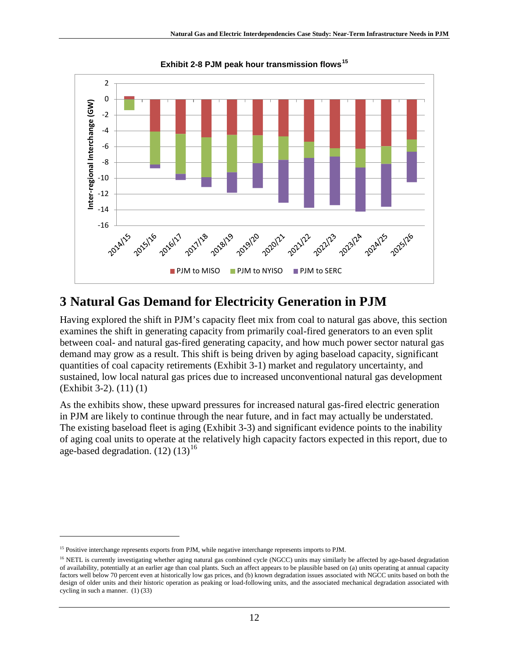<span id="page-19-1"></span>

**Exhibit 2-8 PJM peak hour transmission flows[15](#page-19-2)**

## <span id="page-19-0"></span>**3 Natural Gas Demand for Electricity Generation in PJM**

Having explored the shift in PJM's capacity fleet mix from coal to natural gas above, this section examines the shift in generating capacity from primarily coal-fired generators to an even split between coal- and natural gas-fired generating capacity, and how much power sector natural gas demand may grow as a result. This shift is being driven by aging baseload capacity, significant quantities of coal capacity retirements [\(Exhibit 3-1\)](#page-20-0) market and regulatory uncertainty, and sustained, low local natural gas prices due to increased unconventional natural gas development [\(Exhibit 3-2\)](#page-20-1). (11) (1)

As the exhibits show, these upward pressures for increased natural gas-fired electric generation in PJM are likely to continue through the near future, and in fact may actually be understated. The existing baseload fleet is aging [\(Exhibit 3-3\)](#page-21-1) and significant evidence points to the inability of aging coal units to operate at the relatively high capacity factors expected in this report, due to age-based degradation.  $(12)$   $(13)^{16}$  $(13)^{16}$  $(13)^{16}$ 

<sup>&</sup>lt;sup>15</sup> Positive interchange represents exports from PJM, while negative interchange represents imports to PJM.

<span id="page-19-3"></span><span id="page-19-2"></span><sup>&</sup>lt;sup>16</sup> NETL is currently investigating whether aging natural gas combined cycle (NGCC) units may similarly be affected by age-based degradation of availability, potentially at an earlier age than coal plants. Such an affect appears to be plausible based on (a) units operating at annual capacity factors well below 70 percent even at historically low gas prices, and (b) known degradation issues associated with NGCC units based on both the design of older units and their historic operation as peaking or load-following units, and the associated mechanical degradation associated with cycling in such a manner. (1) (33)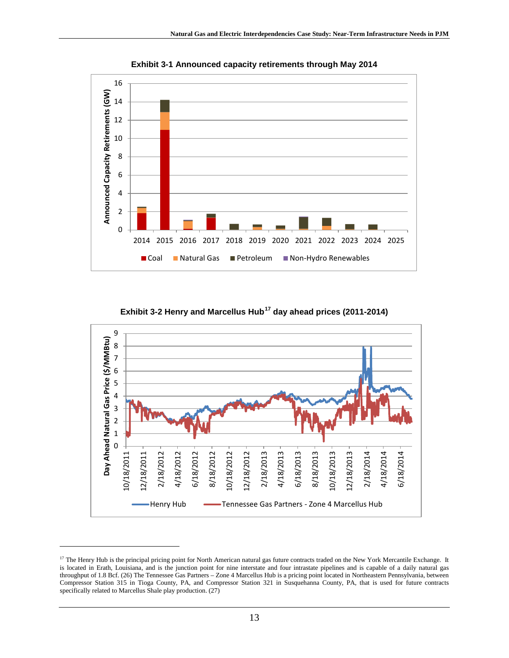<span id="page-20-0"></span>

**Exhibit 3-1 Announced capacity retirements through May 2014**

**Exhibit 3-2 Henry and Marcellus Hub[17](#page-20-2) day ahead prices (2011-2014)**

<span id="page-20-1"></span>

<span id="page-20-2"></span><sup>&</sup>lt;sup>17</sup> The Henry Hub is the principal pricing point for North American natural gas future contracts traded on the New York Mercantile Exchange. It is located in Erath, Louisiana, and is the junction point for nine interstate and four intrastate pipelines and is capable of a daily natural gas throughput of 1.8 Bcf. (26) The Tennessee Gas Partners – Zone 4 Marcellus Hub is a pricing point located in Northeastern Pennsylvania, between Compressor Station 315 in Tioga County, PA, and Compressor Station 321 in Susquehanna County, PA, that is used for future contracts specifically related to Marcellus Shale play production. (27)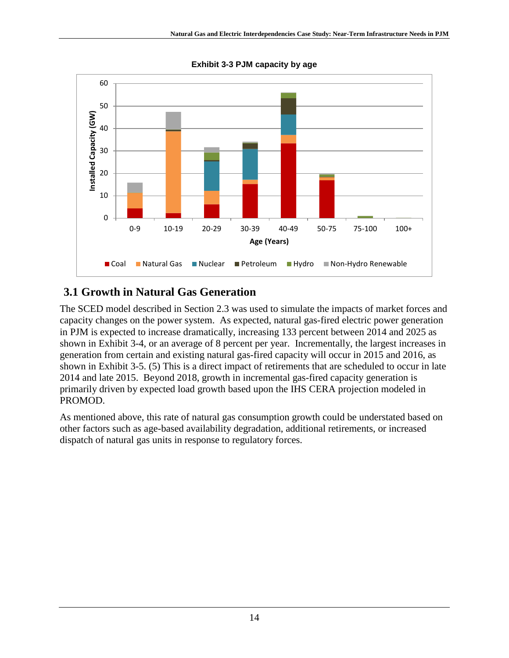<span id="page-21-1"></span>

**Exhibit 3-3 PJM capacity by age**

### <span id="page-21-0"></span>**3.1 Growth in Natural Gas Generation**

The SCED model described in Section [2.3](#page-18-0) was used to simulate the impacts of market forces and capacity changes on the power system. As expected, natural gas-fired electric power generation in PJM is expected to increase dramatically, increasing 133 percent between 2014 and 2025 as shown in [Exhibit 3-4,](#page-22-1) or an average of 8 percent per year. Incrementally, the largest increases in generation from certain and existing natural gas-fired capacity will occur in 2015 and 2016, as shown in [Exhibit 3-5.](#page-22-2) (5) This is a direct impact of retirements that are scheduled to occur in late 2014 and late 2015. Beyond 2018, growth in incremental gas-fired capacity generation is primarily driven by expected load growth based upon the IHS CERA projection modeled in PROMOD.

As mentioned above, this rate of natural gas consumption growth could be understated based on other factors such as age-based availability degradation, additional retirements, or increased dispatch of natural gas units in response to regulatory forces.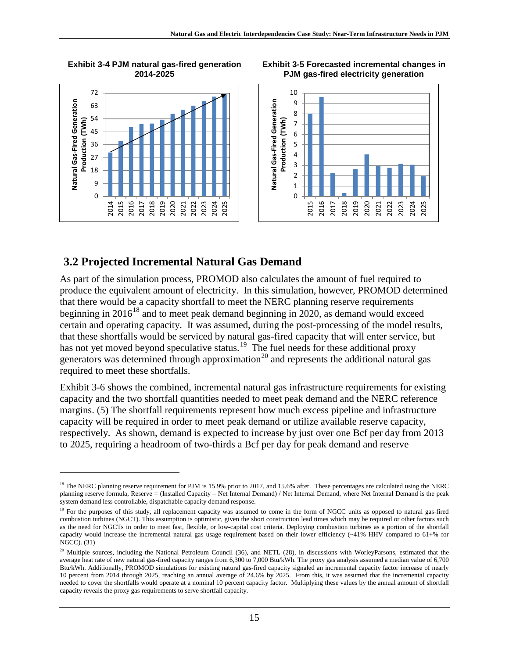

 $\overline{a}$ 

<span id="page-22-1"></span>**Exhibit 3-4 PJM natural gas-fired generation 2014-2025 Exhibit 3-5 Forecasted incremental changes in PJM gas-fired electricity generation**

<span id="page-22-2"></span>

#### <span id="page-22-0"></span>**3.2 Projected Incremental Natural Gas Demand**

As part of the simulation process, PROMOD also calculates the amount of fuel required to produce the equivalent amount of electricity. In this simulation, however, PROMOD determined that there would be a capacity shortfall to meet the NERC planning reserve requirements beginning in  $2016^{18}$  $2016^{18}$  $2016^{18}$  and to meet peak demand beginning in 2020, as demand would exceed certain and operating capacity. It was assumed, during the post-processing of the model results, that these shortfalls would be serviced by natural gas-fired capacity that will enter service, but has not yet moved beyond speculative status.<sup>[19](#page-22-4)</sup> The fuel needs for these additional proxy generators was determined through approximation<sup>[20](#page-22-5)</sup> and represents the additional natural gas required to meet these shortfalls.

[Exhibit 3-6](#page-23-0) shows the combined, incremental natural gas infrastructure requirements for existing capacity and the two shortfall quantities needed to meet peak demand and the NERC reference margins. (5) The shortfall requirements represent how much excess pipeline and infrastructure capacity will be required in order to meet peak demand or utilize available reserve capacity, respectively. As shown, demand is expected to increase by just over one Bcf per day from 2013 to 2025, requiring a headroom of two-thirds a Bcf per day for peak demand and reserve

<span id="page-22-3"></span><sup>&</sup>lt;sup>18</sup> The NERC planning reserve requirement for PJM is 15.9% prior to 2017, and 15.6% after. These percentages are calculated using the NERC planning reserve formula, Reserve = (Installed Capacity – Net Internal Demand) / Net Internal Demand, where Net Internal Demand is the peak system demand less controllable, dispatchable capacity demand response.

<span id="page-22-4"></span><sup>&</sup>lt;sup>19</sup> For the purposes of this study, all replacement capacity was assumed to come in the form of NGCC units as opposed to natural gas-fired combustion turbines (NGCT). This assumption is optimistic, given the short construction lead times which may be required or other factors such as the need for NGCTs in order to meet fast, flexible, or low-capital cost criteria. Deploying combustion turbines as a portion of the shortfall capacity would increase the incremental natural gas usage requirement based on their lower efficiency (~41% HHV compared to 61+% for NGCC). (31)

<span id="page-22-5"></span><sup>&</sup>lt;sup>20</sup> Multiple sources, including the National Petroleum Council (36), and NETL (28), in discussions with WorleyParsons, estimated that the average heat rate of new natural gas-fired capacity ranges from 6,300 to 7,000 Btu/kWh. The proxy gas analysis assumed a median value of 6,700 Btu/kWh. Additionally, PROMOD simulations for existing natural gas-fired capacity signaled an incremental capacity factor increase of nearly 10 percent from 2014 through 2025, reaching an annual average of 24.6% by 2025. From this, it was assumed that the incremental capacity needed to cover the shortfalls would operate at a nominal 10 percent capacity factor. Multiplying these values by the annual amount of shortfall capacity reveals the proxy gas requirements to serve shortfall capacity.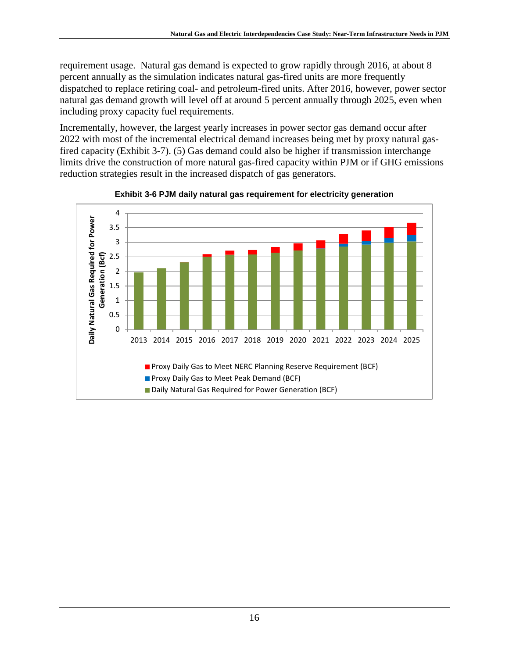requirement usage. Natural gas demand is expected to grow rapidly through 2016, at about 8 percent annually as the simulation indicates natural gas-fired units are more frequently dispatched to replace retiring coal- and petroleum-fired units. After 2016, however, power sector natural gas demand growth will level off at around 5 percent annually through 2025, even when including proxy capacity fuel requirements.

Incrementally, however, the largest yearly increases in power sector gas demand occur after 2022 with most of the incremental electrical demand increases being met by proxy natural gasfired capacity [\(Exhibit 3-7\)](#page-24-1). (5) Gas demand could also be higher if transmission interchange limits drive the construction of more natural gas-fired capacity within PJM or if GHG emissions reduction strategies result in the increased dispatch of gas generators.

<span id="page-23-0"></span>

**Exhibit 3-6 PJM daily natural gas requirement for electricity generation**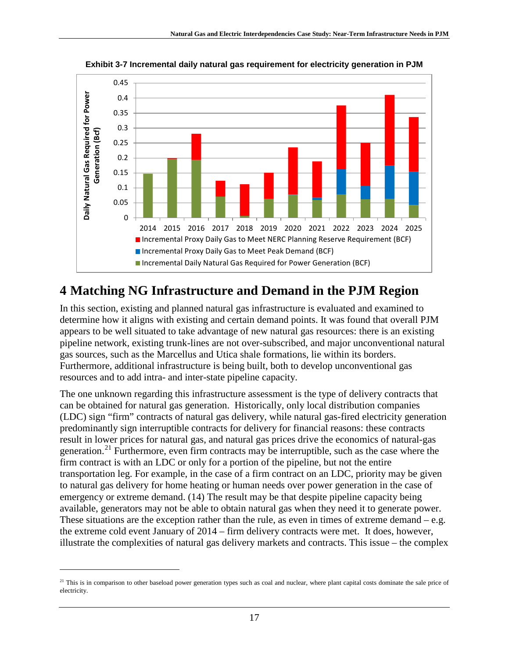<span id="page-24-1"></span>

**Exhibit 3-7 Incremental daily natural gas requirement for electricity generation in PJM**

# <span id="page-24-0"></span>**4 Matching NG Infrastructure and Demand in the PJM Region**

In this section, existing and planned natural gas infrastructure is evaluated and examined to determine how it aligns with existing and certain demand points. It was found that overall PJM appears to be well situated to take advantage of new natural gas resources: there is an existing pipeline network, existing trunk-lines are not over-subscribed, and major unconventional natural gas sources, such as the Marcellus and Utica shale formations, lie within its borders. Furthermore, additional infrastructure is being built, both to develop unconventional gas resources and to add intra- and inter-state pipeline capacity.

The one unknown regarding this infrastructure assessment is the type of delivery contracts that can be obtained for natural gas generation. Historically, only local distribution companies (LDC) sign "firm" contracts of natural gas delivery, while natural gas-fired electricity generation predominantly sign interruptible contracts for delivery for financial reasons: these contracts result in lower prices for natural gas, and natural gas prices drive the economics of natural-gas generation.<sup>[21](#page-24-2)</sup> Furthermore, even firm contracts may be interruptible, such as the case where the firm contract is with an LDC or only for a portion of the pipeline, but not the entire transportation leg. For example, in the case of a firm contract on an LDC, priority may be given to natural gas delivery for home heating or human needs over power generation in the case of emergency or extreme demand. (14) The result may be that despite pipeline capacity being available, generators may not be able to obtain natural gas when they need it to generate power. These situations are the exception rather than the rule, as even in times of extreme demand  $-e.g.$ the extreme cold event January of 2014 – firm delivery contracts were met. It does, however, illustrate the complexities of natural gas delivery markets and contracts. This issue – the complex

<span id="page-24-2"></span><sup>&</sup>lt;sup>21</sup> This is in comparison to other baseload power generation types such as coal and nuclear, where plant capital costs dominate the sale price of electricity.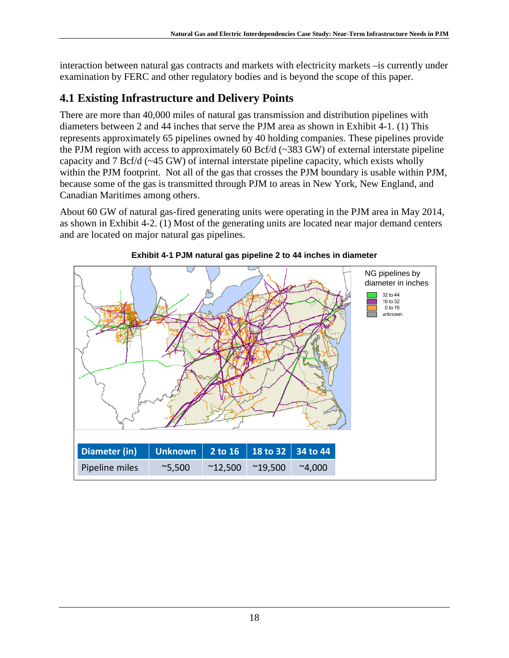interaction between natural gas contracts and markets with electricity markets –is currently under examination by FERC and other regulatory bodies and is beyond the scope of this paper.

## <span id="page-25-0"></span>**4.1 Existing Infrastructure and Delivery Points**

There are more than 40,000 miles of natural gas transmission and distribution pipelines with diameters between 2 and 44 inches that serve the PJM area as shown in [Exhibit 4-1.](#page-25-1) (1) This represents approximately 65 pipelines owned by 40 holding companies. These pipelines provide the PJM region with access to approximately 60 Bcf/d (~383 GW) of external interstate pipeline capacity and 7 Bcf/d (~45 GW) of internal interstate pipeline capacity, which exists wholly within the PJM footprint. Not all of the gas that crosses the PJM boundary is usable within PJM, because some of the gas is transmitted through PJM to areas in New York, New England, and Canadian Maritimes among others.

About 60 GW of natural gas-fired generating units were operating in the PJM area in May 2014, as shown in [Exhibit 4-2.](#page-26-0) (1) Most of the generating units are located near major demand centers and are located on major natural gas pipelines.

<span id="page-25-1"></span>

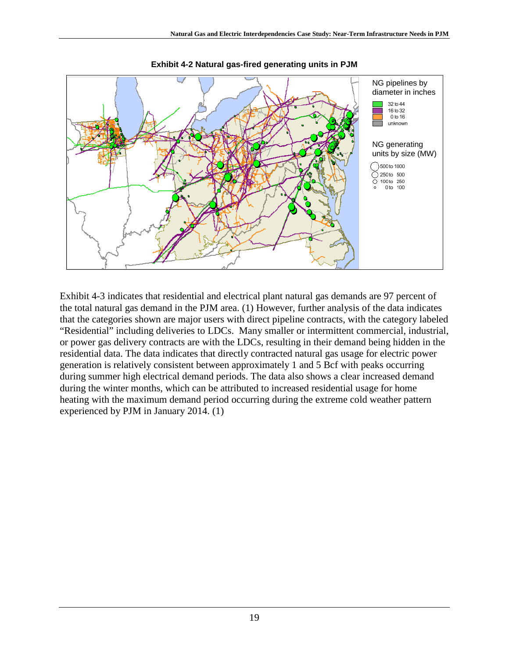<span id="page-26-0"></span>

**Exhibit 4-2 Natural gas-fired generating units in PJM**

[Exhibit 4-3](#page-27-0) indicates that residential and electrical plant natural gas demands are 97 percent of the total natural gas demand in the PJM area. (1) However, further analysis of the data indicates that the categories shown are major users with direct pipeline contracts, with the category labeled "Residential" including deliveries to LDCs. Many smaller or intermittent commercial, industrial, or power gas delivery contracts are with the LDCs, resulting in their demand being hidden in the residential data. The data indicates that directly contracted natural gas usage for electric power generation is relatively consistent between approximately 1 and 5 Bcf with peaks occurring during summer high electrical demand periods. The data also shows a clear increased demand during the winter months, which can be attributed to increased residential usage for home heating with the maximum demand period occurring during the extreme cold weather pattern experienced by PJM in January 2014. (1)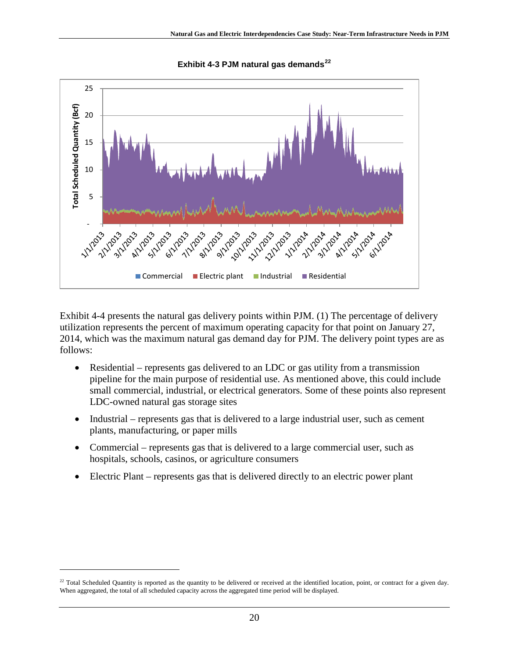<span id="page-27-0"></span>

**Exhibit 4-3 PJM natural gas demands[22](#page-27-1)**

[Exhibit 4-4](#page-28-1) presents the natural gas delivery points within PJM. (1) The percentage of delivery utilization represents the percent of maximum operating capacity for that point on January 27, 2014, which was the maximum natural gas demand day for PJM. The delivery point types are as follows:

- Residential represents gas delivered to an LDC or gas utility from a transmission pipeline for the main purpose of residential use. As mentioned above, this could include small commercial, industrial, or electrical generators. Some of these points also represent LDC-owned natural gas storage sites
- Industrial represents gas that is delivered to a large industrial user, such as cement plants, manufacturing, or paper mills
- Commercial represents gas that is delivered to a large commercial user, such as hospitals, schools, casinos, or agriculture consumers
- Electric Plant represents gas that is delivered directly to an electric power plant

<span id="page-27-1"></span><sup>&</sup>lt;sup>22</sup> Total Scheduled Quantity is reported as the quantity to be delivered or received at the identified location, point, or contract for a given day. When aggregated, the total of all scheduled capacity across the aggregated time period will be displayed.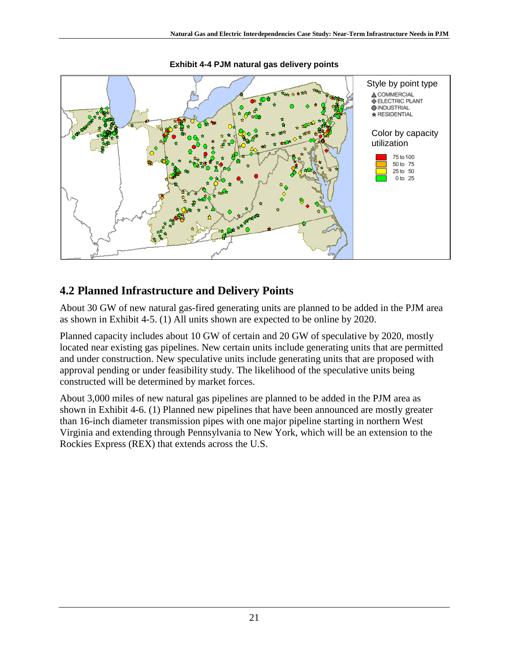<span id="page-28-1"></span>

#### **Exhibit 4-4 PJM natural gas delivery points**

#### <span id="page-28-0"></span>**4.2 Planned Infrastructure and Delivery Points**

About 30 GW of new natural gas-fired generating units are planned to be added in the PJM area as shown in [Exhibit 4-5.](#page-29-0) (1) All units shown are expected to be online by 2020.

Planned capacity includes about 10 GW of certain and 20 GW of speculative by 2020, mostly located near existing gas pipelines. New certain units include generating units that are permitted and under construction. New speculative units include generating units that are proposed with approval pending or under feasibility study. The likelihood of the speculative units being constructed will be determined by market forces.

About 3,000 miles of new natural gas pipelines are planned to be added in the PJM area as shown in [Exhibit 4-6.](#page-29-1) (1) Planned new pipelines that have been announced are mostly greater than 16-inch diameter transmission pipes with one major pipeline starting in northern West Virginia and extending through Pennsylvania to New York, which will be an extension to the Rockies Express (REX) that extends across the U.S.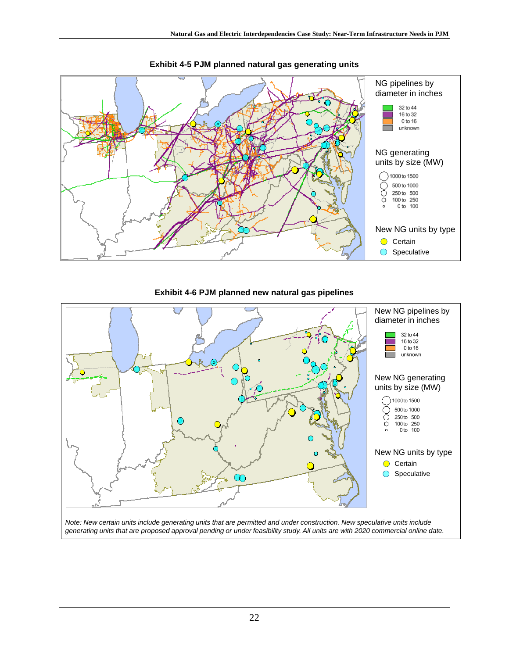<span id="page-29-0"></span>

**Exhibit 4-5 PJM planned natural gas generating units**

**Exhibit 4-6 PJM planned new natural gas pipelines**

<span id="page-29-1"></span>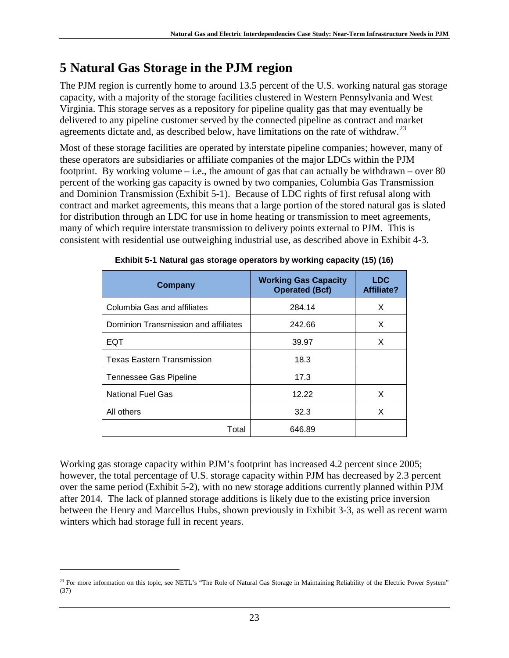# <span id="page-30-0"></span>**5 Natural Gas Storage in the PJM region**

The PJM region is currently home to around 13.5 percent of the U.S. working natural gas storage capacity, with a majority of the storage facilities clustered in Western Pennsylvania and West Virginia. This storage serves as a repository for pipeline quality gas that may eventually be delivered to any pipeline customer served by the connected pipeline as contract and market agreements dictate and, as described below, have limitations on the rate of withdraw.<sup>[23](#page-30-2)</sup>

Most of these storage facilities are operated by interstate pipeline companies; however, many of these operators are subsidiaries or affiliate companies of the major LDCs within the PJM footprint. By working volume – i.e., the amount of gas that can actually be withdrawn – over 80 percent of the working gas capacity is owned by two companies, Columbia Gas Transmission and Dominion Transmission [\(Exhibit 5-1\)](#page-30-1). Because of LDC rights of first refusal along with contract and market agreements, this means that a large portion of the stored natural gas is slated for distribution through an LDC for use in home heating or transmission to meet agreements, many of which require interstate transmission to delivery points external to PJM. This is consistent with residential use outweighing industrial use, as described above in [Exhibit 4-3.](#page-27-0)

<span id="page-30-1"></span>

| Company                              | <b>Working Gas Capacity</b><br><b>Operated (Bcf)</b> | <b>LDC</b><br>Affiliate? |
|--------------------------------------|------------------------------------------------------|--------------------------|
| Columbia Gas and affiliates          | 284.14                                               | X                        |
| Dominion Transmission and affiliates | 242.66                                               | X                        |
| EQT                                  | 39.97                                                | X                        |
| <b>Texas Eastern Transmission</b>    | 18.3                                                 |                          |
| Tennessee Gas Pipeline               | 17.3                                                 |                          |
| <b>National Fuel Gas</b>             | 12.22                                                | X                        |
| All others                           | 32.3                                                 | X                        |
| Total                                | 646.89                                               |                          |

|  | Exhibit 5-1 Natural gas storage operators by working capacity (15) (16) |  |
|--|-------------------------------------------------------------------------|--|
|--|-------------------------------------------------------------------------|--|

Working gas storage capacity within PJM's footprint has increased 4.2 percent since 2005; however, the total percentage of U.S. storage capacity within PJM has decreased by 2.3 percent over the same period [\(Exhibit 5-2\)](#page-31-0), with no new storage additions currently planned within PJM after 2014. The lack of planned storage additions is likely due to the existing price inversion between the Henry and Marcellus Hubs, shown previously in [Exhibit 3-3,](#page-21-1) as well as recent warm winters which had storage full in recent years.

<span id="page-30-2"></span><sup>&</sup>lt;sup>23</sup> For more information on this topic, see NETL's "The Role of Natural Gas Storage in Maintaining Reliability of the Electric Power System" (37)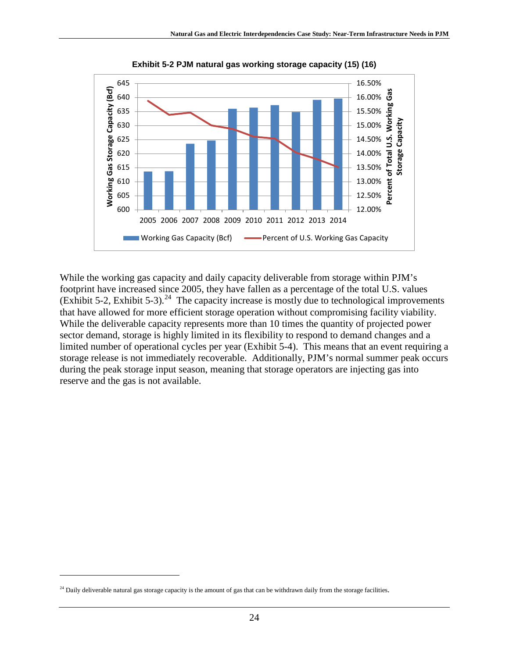<span id="page-31-0"></span>

**Exhibit 5-2 PJM natural gas working storage capacity (15) (16)**

While the working gas capacity and daily capacity deliverable from storage within PJM's footprint have increased since 2005, they have fallen as a percentage of the total U.S. values [\(Exhibit 5-2,](#page-31-0) [Exhibit 5-3\)](#page-32-1).<sup>[24](#page-31-1)</sup> The capacity increase is mostly due to technological improvements that have allowed for more efficient storage operation without compromising facility viability. While the deliverable capacity represents more than 10 times the quantity of projected power sector demand, storage is highly limited in its flexibility to respond to demand changes and a limited number of operational cycles per year [\(Exhibit 5-4\)](#page-32-2). This means that an event requiring a storage release is not immediately recoverable. Additionally, PJM's normal summer peak occurs during the peak storage input season, meaning that storage operators are injecting gas into reserve and the gas is not available.

<span id="page-31-1"></span> $24$  Daily deliverable natural gas storage capacity is the amount of gas that can be withdrawn daily from the storage facilities.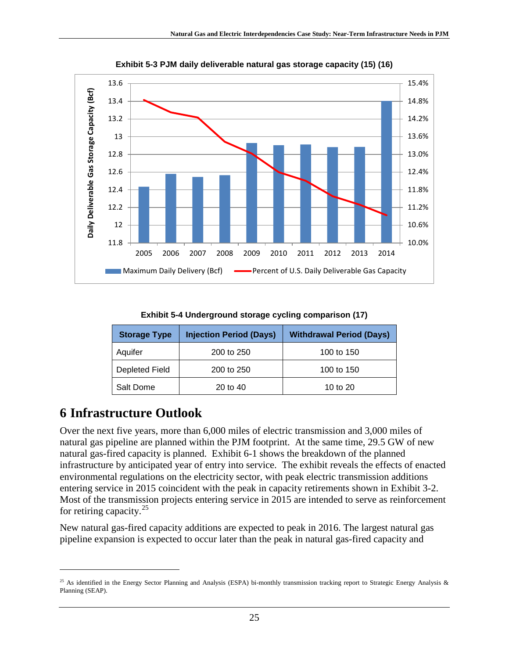<span id="page-32-1"></span>

**Exhibit 5-3 PJM daily deliverable natural gas storage capacity (15) (16)**

**Exhibit 5-4 Underground storage cycling comparison (17)**

<span id="page-32-2"></span>

| <b>Storage Type</b> | <b>Injection Period (Days)</b> | <b>Withdrawal Period (Days)</b> |
|---------------------|--------------------------------|---------------------------------|
| Aquifer             | 200 to 250                     | 100 to 150                      |
| Depleted Field      | 200 to 250                     | 100 to 150                      |
| Salt Dome           | 20 to 40                       | 10 to 20                        |

# <span id="page-32-0"></span>**6 Infrastructure Outlook**

 $\overline{a}$ 

Over the next five years, more than 6,000 miles of electric transmission and 3,000 miles of natural gas pipeline are planned within the PJM footprint. At the same time, 29.5 GW of new natural gas-fired capacity is planned. [Exhibit 6-1](#page-33-0) shows the breakdown of the planned infrastructure by anticipated year of entry into service. The exhibit reveals the effects of enacted environmental regulations on the electricity sector, with peak electric transmission additions entering service in 2015 coincident with the peak in capacity retirements shown in [Exhibit 3-2.](#page-20-1) Most of the transmission projects entering service in 2015 are intended to serve as reinforcement for retiring capacity.<sup>[25](#page-32-3)</sup>

New natural gas-fired capacity additions are expected to peak in 2016. The largest natural gas pipeline expansion is expected to occur later than the peak in natural gas-fired capacity and

<span id="page-32-3"></span><sup>&</sup>lt;sup>25</sup> As identified in the Energy Sector Planning and Analysis (ESPA) bi-monthly transmission tracking report to Strategic Energy Analysis & Planning (SEAP).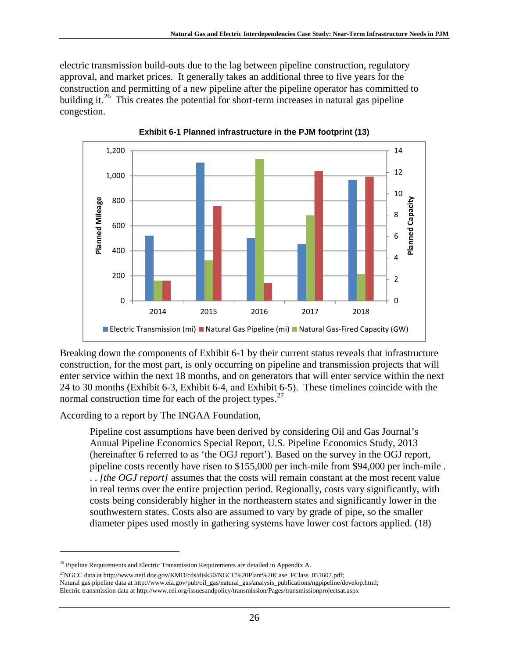electric transmission build-outs due to the lag between pipeline construction, regulatory approval, and market prices. It generally takes an additional three to five years for the construction and permitting of a new pipeline after the pipeline operator has committed to building it.<sup>[26](#page-33-1)</sup> This creates the potential for short-term increases in natural gas pipeline congestion.

<span id="page-33-0"></span>

**Exhibit 6-1 Planned infrastructure in the PJM footprint (13)**

Breaking down the components of [Exhibit 6-1](#page-33-0) by their current status reveals that infrastructure construction, for the most part, is only occurring on pipeline and transmission projects that will enter service within the next 18 months, and on generators that will enter service within the next 24 to 30 months [\(Exhibit 6-3,](#page-35-0) [Exhibit 6-4,](#page-35-1) and [Exhibit 6-5\)](#page-35-2). These timelines coincide with the normal construction time for each of the project types.<sup>[27](#page-33-2)</sup>

According to a report by The INGAA Foundation,

Pipeline cost assumptions have been derived by considering Oil and Gas Journal's Annual Pipeline Economics Special Report, U.S. Pipeline Economics Study, 2013 (hereinafter 6 referred to as 'the OGJ report'). Based on the survey in the OGJ report, pipeline costs recently have risen to \$155,000 per inch-mile from \$94,000 per inch-mile . . . *[the OGJ report]* assumes that the costs will remain constant at the most recent value in real terms over the entire projection period. Regionally, costs vary significantly, with costs being considerably higher in the northeastern states and significantly lower in the southwestern states. Costs also are assumed to vary by grade of pipe, so the smaller diameter pipes used mostly in gathering systems have lower cost factors applied. (18)

<span id="page-33-1"></span><sup>&</sup>lt;sup>26</sup> Pipeline Requirements and Electric Transmission Requirements are detailed in Appendix A.

<span id="page-33-2"></span><sup>&</sup>lt;sup>27</sup>NGCC data a[t http://www.netl.doe.gov/KMD/cds/disk50/NGCC%20Plant%20Case\\_FClass\\_051607.pdf;](http://www.netl.doe.gov/KMD/cds/disk50/NGCC%20Plant%20Case_FClass_051607.pdf) Natural gas pipeline data a[t http://www.eia.gov/pub/oil\\_gas/natural\\_gas/analysis\\_publications/ngpipeline/develop.html;](http://www.eia.gov/pub/oil_gas/natural_gas/analysis_publications/ngpipeline/develop.html)  Electric transmission data at http://www.eei.org/issuesandpolicy/transmission/Pages/transmissionprojectsat.aspx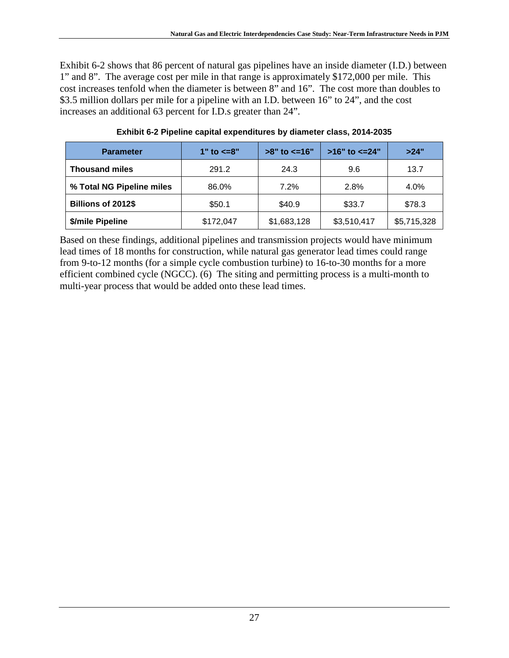[Exhibit 6-2](#page-34-0) shows that 86 percent of natural gas pipelines have an inside diameter (I.D.) between 1" and 8". The average cost per mile in that range is approximately \$172,000 per mile. This cost increases tenfold when the diameter is between 8" and 16". The cost more than doubles to \$3.5 million dollars per mile for a pipeline with an I.D. between 16" to 24", and the cost increases an additional 63 percent for I.D.s greater than 24".

<span id="page-34-0"></span>

| <b>Parameter</b>          | 1" to $\leq 8$ " | $>8"$ to $<=16"$ | $>16"$ to $\leq 24"$ | >24"        |
|---------------------------|------------------|------------------|----------------------|-------------|
| <b>Thousand miles</b>     | 291.2            | 24.3             | 9.6                  | 13.7        |
| % Total NG Pipeline miles | 86.0%            | 7.2%             | 2.8%                 | 4.0%        |
| Billions of 2012\$        | \$50.1           | \$40.9           | \$33.7               | \$78.3      |
| \$/mile Pipeline          | \$172,047        | \$1,683,128      | \$3,510,417          | \$5,715,328 |

**Exhibit 6-2 Pipeline capital expenditures by diameter class, 2014-2035**

Based on these findings, additional pipelines and transmission projects would have minimum lead times of 18 months for construction, while natural gas generator lead times could range from 9-to-12 months (for a simple cycle combustion turbine) to 16-to-30 months for a more efficient combined cycle (NGCC). (6) The siting and permitting process is a multi-month to multi-year process that would be added onto these lead times.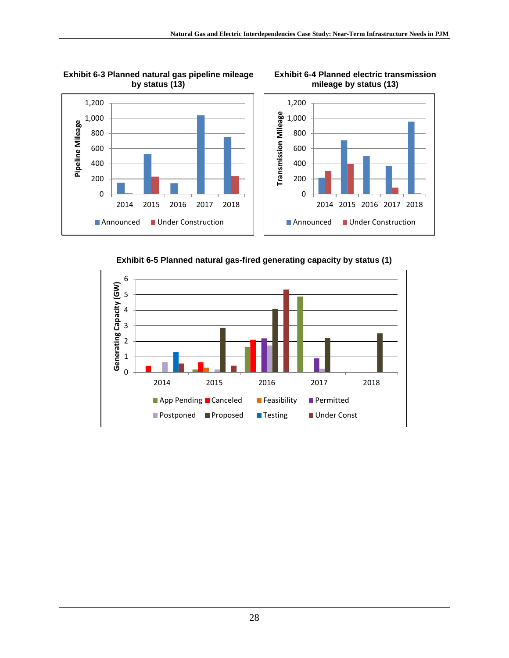<span id="page-35-1"></span>**Exhibit 6-4 Planned electric transmission** 



<span id="page-35-0"></span>**Exhibit 6-3 Planned natural gas pipeline mileage by status (13)**



<span id="page-35-2"></span>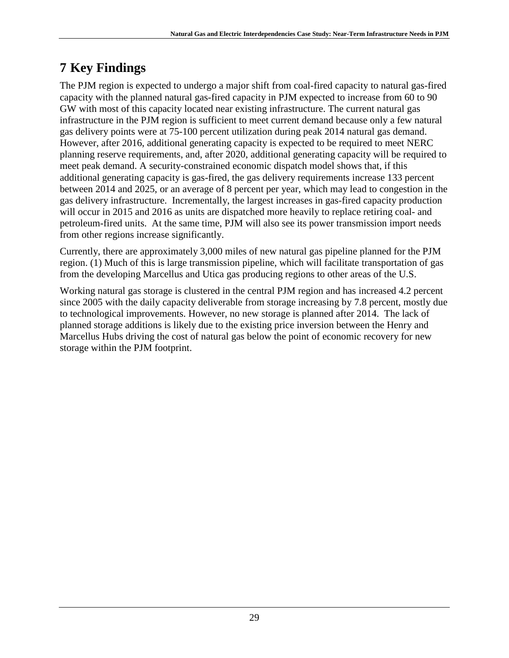# <span id="page-36-0"></span>**7 Key Findings**

The PJM region is expected to undergo a major shift from coal-fired capacity to natural gas-fired capacity with the planned natural gas-fired capacity in PJM expected to increase from 60 to 90 GW with most of this capacity located near existing infrastructure. The current natural gas infrastructure in the PJM region is sufficient to meet current demand because only a few natural gas delivery points were at 75-100 percent utilization during peak 2014 natural gas demand. However, after 2016, additional generating capacity is expected to be required to meet NERC planning reserve requirements, and, after 2020, additional generating capacity will be required to meet peak demand. A security-constrained economic dispatch model shows that, if this additional generating capacity is gas-fired, the gas delivery requirements increase 133 percent between 2014 and 2025, or an average of 8 percent per year, which may lead to congestion in the gas delivery infrastructure. Incrementally, the largest increases in gas-fired capacity production will occur in 2015 and 2016 as units are dispatched more heavily to replace retiring coal- and petroleum-fired units. At the same time, PJM will also see its power transmission import needs from other regions increase significantly.

Currently, there are approximately 3,000 miles of new natural gas pipeline planned for the PJM region. (1) Much of this is large transmission pipeline, which will facilitate transportation of gas from the developing Marcellus and Utica gas producing regions to other areas of the U.S.

Working natural gas storage is clustered in the central PJM region and has increased 4.2 percent since 2005 with the daily capacity deliverable from storage increasing by 7.8 percent, mostly due to technological improvements. However, no new storage is planned after 2014. The lack of planned storage additions is likely due to the existing price inversion between the Henry and Marcellus Hubs driving the cost of natural gas below the point of economic recovery for new storage within the PJM footprint.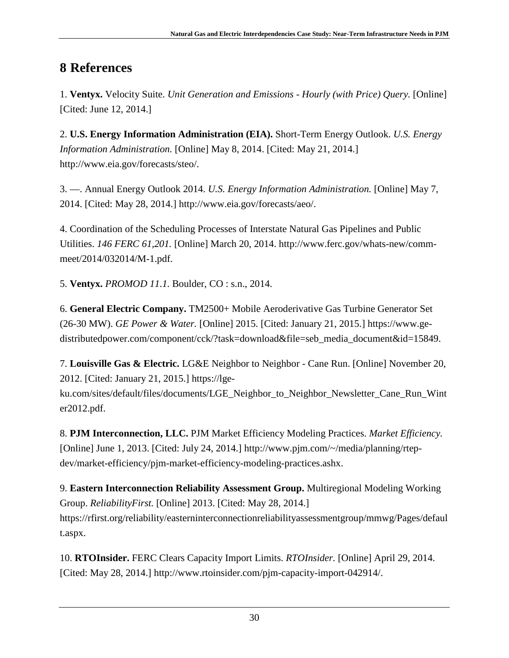# <span id="page-37-0"></span>**8 References**

1. **Ventyx.** Velocity Suite. *Unit Generation and Emissions - Hourly (with Price) Query.* [Online] [Cited: June 12, 2014.]

2. **U.S. Energy Information Administration (EIA).** Short-Term Energy Outlook. *U.S. Energy Information Administration.* [Online] May 8, 2014. [Cited: May 21, 2014.] http://www.eia.gov/forecasts/steo/.

3. —. Annual Energy Outlook 2014. *U.S. Energy Information Administration.* [Online] May 7, 2014. [Cited: May 28, 2014.] http://www.eia.gov/forecasts/aeo/.

4. Coordination of the Scheduling Processes of Interstate Natural Gas Pipelines and Public Utilities. *146 FERC 61,201.* [Online] March 20, 2014. http://www.ferc.gov/whats-new/commmeet/2014/032014/M-1.pdf.

5. **Ventyx.** *PROMOD 11.1.* Boulder, CO : s.n., 2014.

6. **General Electric Company.** TM2500+ Mobile Aeroderivative Gas Turbine Generator Set (26-30 MW). *GE Power & Water.* [Online] 2015. [Cited: January 21, 2015.] https://www.gedistributedpower.com/component/cck/?task=download&file=seb\_media\_document&id=15849.

7. **Louisville Gas & Electric.** LG&E Neighbor to Neighbor - Cane Run. [Online] November 20, 2012. [Cited: January 21, 2015.] https://lge-

ku.com/sites/default/files/documents/LGE\_Neighbor\_to\_Neighbor\_Newsletter\_Cane\_Run\_Wint er2012.pdf.

8. **PJM Interconnection, LLC.** PJM Market Efficiency Modeling Practices. *Market Efficiency.*  [Online] June 1, 2013. [Cited: July 24, 2014.] http://www.pjm.com/~/media/planning/rtepdev/market-efficiency/pjm-market-efficiency-modeling-practices.ashx.

9. **Eastern Interconnection Reliability Assessment Group.** Multiregional Modeling Working Group. *ReliabilityFirst.* [Online] 2013. [Cited: May 28, 2014.] https://rfirst.org/reliability/easterninterconnectionreliabilityassessmentgroup/mmwg/Pages/defaul t.aspx.

10. **RTOInsider.** FERC Clears Capacity Import Limits. *RTOInsider.* [Online] April 29, 2014. [Cited: May 28, 2014.] http://www.rtoinsider.com/pjm-capacity-import-042914/.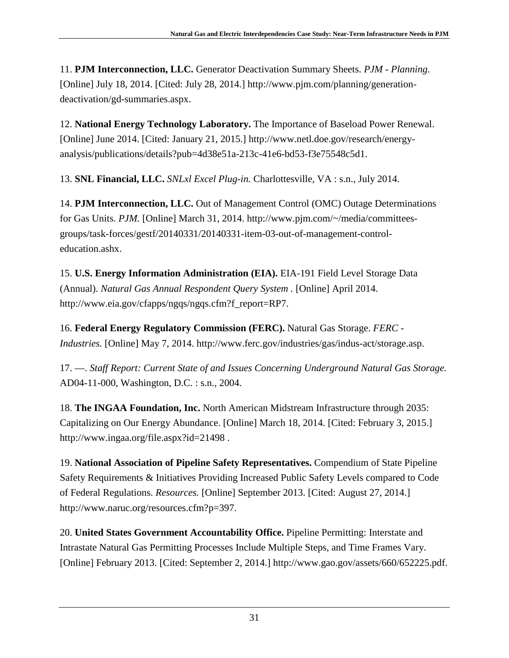11. **PJM Interconnection, LLC.** Generator Deactivation Summary Sheets. *PJM - Planning.*  [Online] July 18, 2014. [Cited: July 28, 2014.] http://www.pjm.com/planning/generationdeactivation/gd-summaries.aspx.

12. **National Energy Technology Laboratory.** The Importance of Baseload Power Renewal. [Online] June 2014. [Cited: January 21, 2015.] http://www.netl.doe.gov/research/energyanalysis/publications/details?pub=4d38e51a-213c-41e6-bd53-f3e75548c5d1.

13. **SNL Financial, LLC.** *SNLxl Excel Plug-in.* Charlottesville, VA : s.n., July 2014.

14. **PJM Interconnection, LLC.** Out of Management Control (OMC) Outage Determinations for Gas Units. *PJM.* [Online] March 31, 2014. http://www.pjm.com/~/media/committeesgroups/task-forces/gestf/20140331/20140331-item-03-out-of-management-controleducation.ashx.

15. **U.S. Energy Information Administration (EIA).** EIA-191 Field Level Storage Data (Annual). *Natural Gas Annual Respondent Query System .* [Online] April 2014. http://www.eia.gov/cfapps/ngqs/ngqs.cfm?f\_report=RP7.

16. **Federal Energy Regulatory Commission (FERC).** Natural Gas Storage. *FERC - Industries.* [Online] May 7, 2014. http://www.ferc.gov/industries/gas/indus-act/storage.asp.

17. —. *Staff Report: Current State of and Issues Concerning Underground Natural Gas Storage.*  AD04-11-000, Washington, D.C. : s.n., 2004.

18. **The INGAA Foundation, Inc.** North American Midstream Infrastructure through 2035: Capitalizing on Our Energy Abundance. [Online] March 18, 2014. [Cited: February 3, 2015.] http://www.ingaa.org/file.aspx?id=21498 .

19. **National Association of Pipeline Safety Representatives.** Compendium of State Pipeline Safety Requirements & Initiatives Providing Increased Public Safety Levels compared to Code of Federal Regulations. *Resources.* [Online] September 2013. [Cited: August 27, 2014.] http://www.naruc.org/resources.cfm?p=397.

20. **United States Government Accountability Office.** Pipeline Permitting: Interstate and Intrastate Natural Gas Permitting Processes Include Multiple Steps, and Time Frames Vary. [Online] February 2013. [Cited: September 2, 2014.] http://www.gao.gov/assets/660/652225.pdf.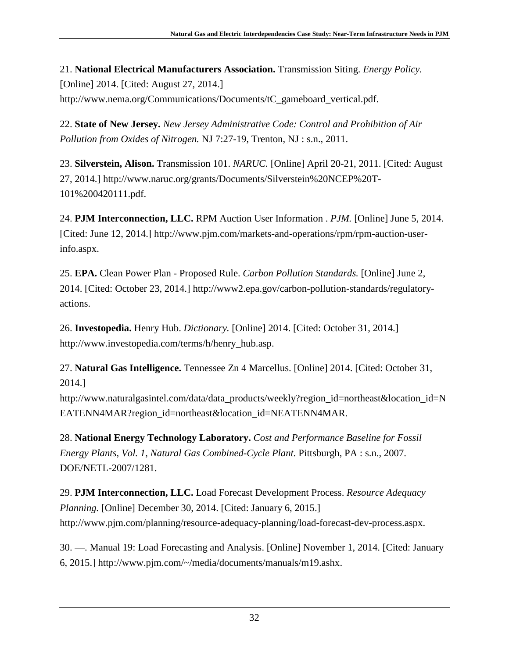21. **National Electrical Manufacturers Association.** Transmission Siting. *Energy Policy.*  [Online] 2014. [Cited: August 27, 2014.] http://www.nema.org/Communications/Documents/tC\_gameboard\_vertical.pdf.

22. **State of New Jersey.** *New Jersey Administrative Code: Control and Prohibition of Air Pollution from Oxides of Nitrogen.* NJ 7:27-19, Trenton, NJ : s.n., 2011.

23. **Silverstein, Alison.** Transmission 101. *NARUC.* [Online] April 20-21, 2011. [Cited: August 27, 2014.] http://www.naruc.org/grants/Documents/Silverstein%20NCEP%20T-101%200420111.pdf.

24. **PJM Interconnection, LLC.** RPM Auction User Information . *PJM.* [Online] June 5, 2014. [Cited: June 12, 2014.] http://www.pjm.com/markets-and-operations/rpm/rpm-auction-userinfo.aspx.

25. **EPA.** Clean Power Plan - Proposed Rule. *Carbon Pollution Standards.* [Online] June 2, 2014. [Cited: October 23, 2014.] http://www2.epa.gov/carbon-pollution-standards/regulatoryactions.

26. **Investopedia.** Henry Hub. *Dictionary.* [Online] 2014. [Cited: October 31, 2014.] http://www.investopedia.com/terms/h/henry\_hub.asp.

27. **Natural Gas Intelligence.** Tennessee Zn 4 Marcellus. [Online] 2014. [Cited: October 31, 2014.]

http://www.naturalgasintel.com/data/data\_products/weekly?region\_id=northeast&location\_id=N EATENN4MAR?region\_id=northeast&location\_id=NEATENN4MAR.

28. **National Energy Technology Laboratory.** *Cost and Performance Baseline for Fossil Energy Plants, Vol. 1, Natural Gas Combined-Cycle Plant. Pittsburgh, PA : s.n., 2007.* DOE/NETL-2007/1281.

29. **PJM Interconnection, LLC.** Load Forecast Development Process. *Resource Adequacy Planning.* [Online] December 30, 2014. [Cited: January 6, 2015.] http://www.pjm.com/planning/resource-adequacy-planning/load-forecast-dev-process.aspx.

30. —. Manual 19: Load Forecasting and Analysis. [Online] November 1, 2014. [Cited: January 6, 2015.] http://www.pjm.com/~/media/documents/manuals/m19.ashx.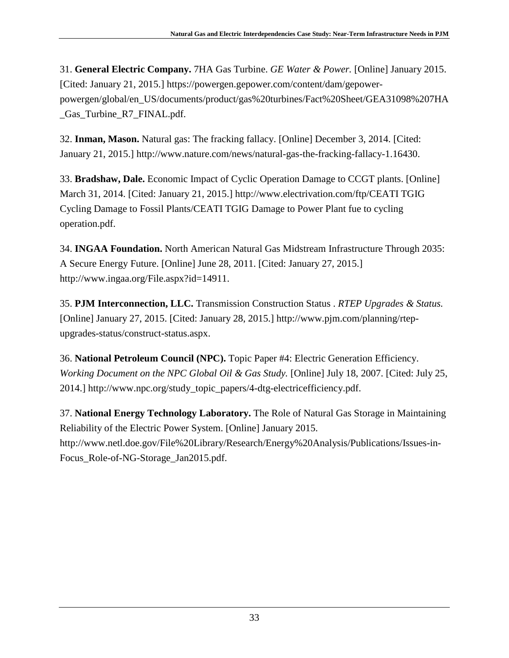31. **General Electric Company.** 7HA Gas Turbine. *GE Water & Power.* [Online] January 2015. [Cited: January 21, 2015.] https://powergen.gepower.com/content/dam/gepowerpowergen/global/en\_US/documents/product/gas%20turbines/Fact%20Sheet/GEA31098%207HA \_Gas\_Turbine\_R7\_FINAL.pdf.

32. **Inman, Mason.** Natural gas: The fracking fallacy. [Online] December 3, 2014. [Cited: January 21, 2015.] http://www.nature.com/news/natural-gas-the-fracking-fallacy-1.16430.

33. **Bradshaw, Dale.** Economic Impact of Cyclic Operation Damage to CCGT plants. [Online] March 31, 2014. [Cited: January 21, 2015.] http://www.electrivation.com/ftp/CEATI TGIG Cycling Damage to Fossil Plants/CEATI TGIG Damage to Power Plant fue to cycling operation.pdf.

34. **INGAA Foundation.** North American Natural Gas Midstream Infrastructure Through 2035: A Secure Energy Future. [Online] June 28, 2011. [Cited: January 27, 2015.] http://www.ingaa.org/File.aspx?id=14911.

35. **PJM Interconnection, LLC.** Transmission Construction Status . *RTEP Upgrades & Status.*  [Online] January 27, 2015. [Cited: January 28, 2015.] http://www.pjm.com/planning/rtepupgrades-status/construct-status.aspx.

36. **National Petroleum Council (NPC).** Topic Paper #4: Electric Generation Efficiency. *Working Document on the NPC Global Oil & Gas Study.* [Online] July 18, 2007. [Cited: July 25, 2014.] http://www.npc.org/study\_topic\_papers/4-dtg-electricefficiency.pdf.

37. **National Energy Technology Laboratory.** The Role of Natural Gas Storage in Maintaining Reliability of the Electric Power System. [Online] January 2015. http://www.netl.doe.gov/File%20Library/Research/Energy%20Analysis/Publications/Issues-in-Focus\_Role-of-NG-Storage\_Jan2015.pdf.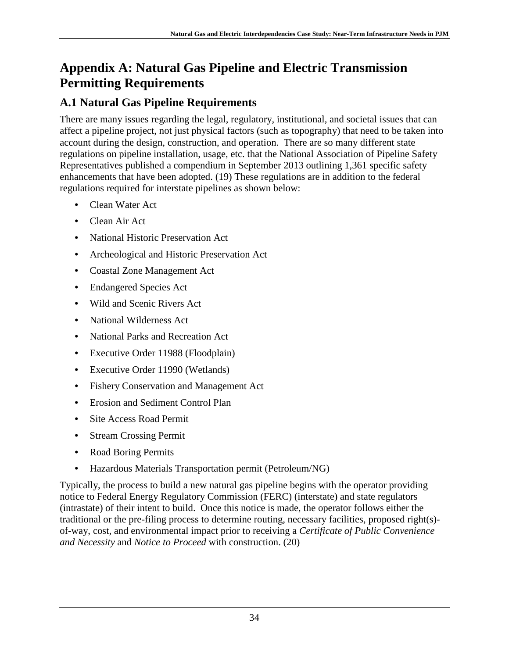# <span id="page-41-0"></span>**Appendix A: Natural Gas Pipeline and Electric Transmission Permitting Requirements**

# **A.1 Natural Gas Pipeline Requirements**

There are many issues regarding the legal, regulatory, institutional, and societal issues that can affect a pipeline project, not just physical factors (such as topography) that need to be taken into account during the design, construction, and operation. There are so many different state regulations on pipeline installation, usage, etc. that the National Association of Pipeline Safety Representatives published a compendium in September 2013 outlining 1,361 specific safety enhancements that have been adopted. (19) These regulations are in addition to the federal regulations required for interstate pipelines as shown below:

- Clean Water Act
- Clean Air Act
- National Historic Preservation Act
- Archeological and Historic Preservation Act
- Coastal Zone Management Act
- Endangered Species Act
- Wild and Scenic Rivers Act
- National Wilderness Act
- National Parks and Recreation Act
- Executive Order 11988 (Floodplain)
- Executive Order 11990 (Wetlands)
- Fishery Conservation and Management Act
- Erosion and Sediment Control Plan
- Site Access Road Permit
- Stream Crossing Permit
- Road Boring Permits
- Hazardous Materials Transportation permit (Petroleum/NG)

Typically, the process to build a new natural gas pipeline begins with the operator providing notice to Federal Energy Regulatory Commission (FERC) (interstate) and state regulators (intrastate) of their intent to build. Once this notice is made, the operator follows either the traditional or the pre-filing process to determine routing, necessary facilities, proposed right(s) of-way, cost, and environmental impact prior to receiving a *Certificate of Public Convenience and Necessity* and *Notice to Proceed* with construction. (20)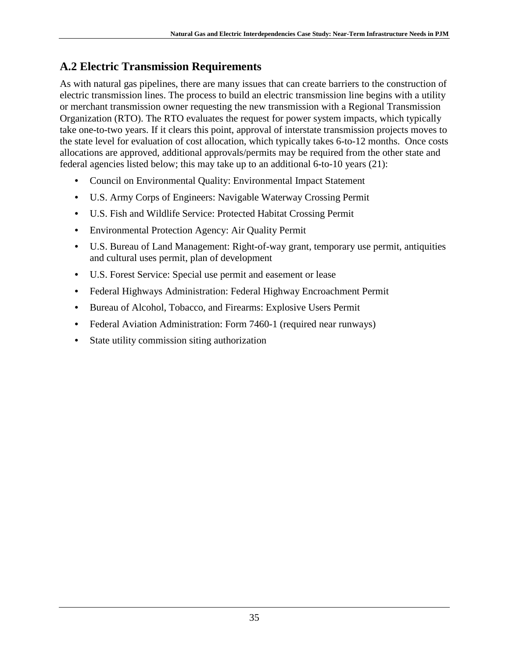### **A.2 Electric Transmission Requirements**

As with natural gas pipelines, there are many issues that can create barriers to the construction of electric transmission lines. The process to build an electric transmission line begins with a utility or merchant transmission owner requesting the new transmission with a Regional Transmission Organization (RTO). The RTO evaluates the request for power system impacts, which typically take one-to-two years. If it clears this point, approval of interstate transmission projects moves to the state level for evaluation of cost allocation, which typically takes 6-to-12 months. Once costs allocations are approved, additional approvals/permits may be required from the other state and federal agencies listed below; this may take up to an additional 6-to-10 years (21):

- Council on Environmental Quality: Environmental Impact Statement
- U.S. Army Corps of Engineers: Navigable Waterway Crossing Permit
- U.S. Fish and Wildlife Service: Protected Habitat Crossing Permit
- Environmental Protection Agency: Air Quality Permit
- U.S. Bureau of Land Management: Right-of-way grant, temporary use permit, antiquities and cultural uses permit, plan of development
- U.S. Forest Service: Special use permit and easement or lease
- Federal Highways Administration: Federal Highway Encroachment Permit
- Bureau of Alcohol, Tobacco, and Firearms: Explosive Users Permit
- Federal Aviation Administration: Form 7460-1 (required near runways)
- State utility commission siting authorization